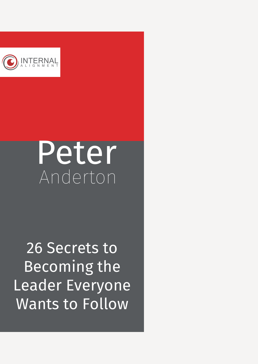

# Peter Anderton

26 Secrets to Becoming the Leader Everyone Wants to Follow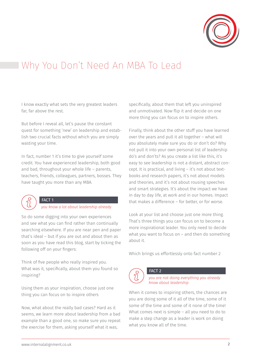

# Why You Don't Need An MBA To Lead

I know exactly what sets the very greatest leaders far, far above the rest.

But before I reveal all, let's pause the constant quest for something 'new' on leadership and establish two crucial facts without which you are simply wasting your time.

In fact, number 1 it's time to give yourself some credit. You have experienced leadership, both good and bad, throughout your whole life – parents, teachers, friends, colleagues, partners, bosses. They have taught you more than any MBA.



#### FACT 1

*you know a lot about leadership already*

So do some digging into your own experiences and see what you can find rather than continually searching elsewhere. If you are near pen and paper that's ideal – but if you are out and about then as soon as you have read this blog, start by ticking the following off on your fingers:

Think of five people who really inspired you. What was it, specifically, about them you found so inspiring?

Using them as your inspiration, choose just one thing you can focus on to inspire others

Now, what about the really bad cases? Hard as it seems, we learn more about leadership from a bad example than a good one, so make sure you repeat the exercise for them, asking yourself what it was,

specifically, about them that left you uninspired and unmotivated. Now flip it and decide on one more thing you can focus on to inspire others.

Finally, think about the other stuff you have learned over the years and pull it all together – what will you absolutely make sure you do or don't do? Why not pull it into your own personal list of leadership do's and don'ts? As you create a list like this, it's easy to see leadership is not a distant, abstract concept. It is practical, and living – it's not about textbooks and research papers, it's not about models and theories, and it's not about rousing speeches and smart strategies. It's about the impact we have in day to day life, at work and in our homes. Impact that makes a difference – for better, or for worse.

Look at your list and choose just one more thing. That's three things you can focus on to become a more inspirational leader. You only need to decide what you want to focus on – and then do something about it.

Which brings us effortlessly onto fact number 2



FACT 2

*you are not doing everything you already know about leadership*

When it comes to inspiring others, the chances are you are doing some of it all of the time, some of it some of the time and some of it none of the time! What comes next is simple – all you need to do to make a step change as a leader is work on doing what you know all of the time.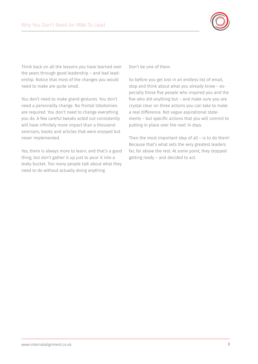

Think back on all the lessons you have learned over the years through good leadership – and bad leadership. Notice that most of the changes you would need to make are quite small.

You don't need to make grand gestures. You don't need a personality change. No frontal lobotomies are required. You don't need to change everything you do. A few careful tweaks acted out consistently will have infinitely more impact than a thousand seminars, books and articles that were enjoyed but never implemented.

Yes, there is always more to learn, and that's a good thing, but don't gather it up just to pour it into a leaky bucket. Too many people talk about what they need to do without actually doing anything.

Don't be one of them.

So before you get lost in an endless list of email, stop and think about what you already know – especially those five people who inspired you and the five who did anything but – and make sure you are crystal clear on three actions you can take to make a real difference. Not vague aspirational statements – but specific actions that you will commit to putting in place over the next 14 days.

Then the most important step of all – is to do them! Because that's what sets the very greatest leaders far, far above the rest. At some point, they stopped getting ready – and decided to act.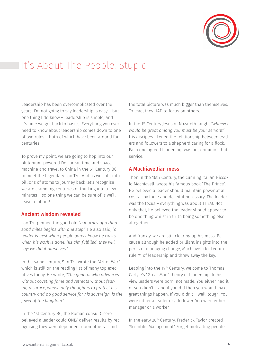

# It's About The People, Stupid

Leadership has been overcomplicated over the years. I'm not going to say leadership is easy – but one thing I do know – leadership is simple, and it's time we got back to basics. Everything you ever need to know about leadership comes down to one of two rules – both of which have been around for centuries.

To prove my point, we are going to hop into our plutonium-powered De Lorean time and space machine and travel to China in the 6<sup>th</sup> Century BC to meet the legendary Lao Tzu. And as we split into billions of atoms to journey back let's recognise we are cramming centuries of thinking into a few minutes – so one thing we can be sure of is we'll leave a lot out!

#### Ancient wisdom revealed

Lao Tzu penned the good old *"a journey of a thousand miles begins with one step."* He also said, *"a leader is best when people barely know he exists when his work is done, his aim fulfilled, they will say: we did it ourselves."*

In the same century, Sun Tzu wrote the "Art of War" which is still on the reading list of many top executives today. He wrote, *"The general who advances without coveting fame and retreats without fearing disgrace, whose only thought is to protect his country and do good service for his sovereign, is the jewel of the kingdom."*

In the 1st Century BC, the Roman consul Cicero believed a leader could ONLY deliver results by recognising they were dependent upon others – and

the total picture was much bigger than themselves. To lead, they HAD to focus on others.

In the 1st Century Jesus of Nazareth taught *"whoever would be great among you must be your servant."* His disciples likened the relationship between leaders and followers to a shepherd caring for a flock. Each one agreed leadership was not dominion, but service.

#### A Machiavellian mess

Then in the 16th Century, the cunning Italian Niccolo Machiavelli wrote his famous book "The Prince". He believed a leader should maintain power at all costs – by force and deceit if necessary. The leader was the focus – everything was about THEM. Not only that, he believed the leader should appear to be one thing whilst in truth being something else altogether.

And frankly, we are still clearing up his mess. Because although he added brilliant insights into the perils of managing change, Machiavelli locked up rule #1 of leadership and threw away the key.

Leaping into the 19<sup>th</sup> Century, we come to Thomas Carlyle's "Great Man" theory of leadership. In his view leaders were born, not made. You either had it, or you didn't – and if you did then you would make great things happen. If you didn't – well, tough. You were either a leader or a follower. You were either a manager or a worker.

In the early 20<sup>th</sup> Century, Frederick Taylor created 'Scientific Management.' Forget motivating people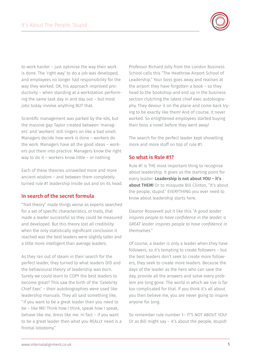

to work harder – just optimise the way their work is done. The 'right way' to do a job was developed, and employees no longer had responsibility for the way they worked. OK, his approach improved productivity – when standing at a workstation performing the same task day in and day out – but most jobs today involve anything BUT that.

Scientific management was parked by the 40s, but the massive gap Taylor created between 'managers' and 'workers' still lingers on like a bad smell. Managers decide how work is done – workers do the work. Managers have all the good ideas – workers put them into practice. Managers know the right way to do it – workers know little – or nothing.

Each of these theories unravelled more and more ancient wisdom – and between them completely turned rule #1 leadership inside out and on its head.

#### In search of the secret formula

"Trait theory" made things worse as experts searched for a set of specific characteristics, or traits, that made a leader successful so they could be measured and developed. But this theory lost all credibility when the only statistically significant conclusion it reached was the best leaders were slightly taller and a little more intelligent than average leaders.

As they ran out of steam in their search for the perfect leader, they turned to what leaders DID and the behavioural theory of leadership was born. Surely we could learn to COPY the best leaders to become great? This saw the birth of the 'Celebrity Chief Exec' – their autobiographies were used like leadership manuals. They all said something like, "if you want to be a great leader then you need to be – like ME! Think how I think, speak how I speak, behave like me, dress like me. In fact – if you want to be a great leader then what you REALLY need is a frontal lobotomy."

Professor Richard Jolly from the London Business School calls this "The Heathrow Airport School of Leadership." Your boss goes away and realises at the airport they have forgotten a book – so they head to the bookshop and end up in the business section clutching the latest chief exec autobiography. They devour it on the plane and come back trying to be exactly like them! And of course, it never worked. So enlightened employees started buying their boss a novel before they went away!

The search for the perfect leader kept shovelling more and more stuff on top of rule #1.

#### So what is Rule #1?

Rule #1 is THE most important thing to recognise about leadership. It gives us the starting point for every leader: Leadership is not about YOU - it's about THEM! Or to misquote Bill Clinton, "It's about the people, stupid." EVERYTHING you ever need to know about leadership starts here.

Eleanor Roosevelt put it like this *"A good leader inspires people to have confidence in the leader, a GREAT leader inspires people to have confidence in themselves."*

Of course, a leader is only a leader when they have followers, so it's tempting to create followers – but the best leaders don't seek to create more followers, they seek to create more leaders. Because the days of the leader as the hero who can save the day, provide all the answers and solve every problem are long gone. The world in which we live is far too complicated for that. If you think it's all about you then believe me, you are never going to inspire anyone for long.

So remember rule number 1– IT'S NOT ABOUT YOU! Or as Bill might say – it's about the people, stupid!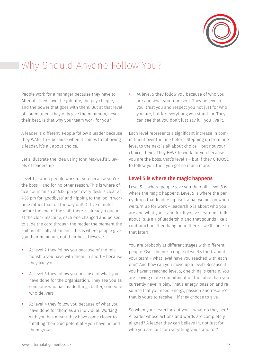

### Why Should Anyone Follow You?

People work for a manager because they have to. After all, they have the job title, the pay cheque, and the power that goes with them. But at that level of commitment they only give the minimum, never their best. Is that why your team work for you?

A leader is different. People follow a leader because they WANT to – because when it comes to following a leader, it's all about choice.

Let's illustrate the idea using John Maxwell's 5 levels of leadership.

Level 1 is when people work for you because you're the boss – and for no other reason. This is where office hours finish at 5:00 pm yet every desk is clear at 4:55 pm for 'goodbyes' and nipping to the loo in work time rather than on the way out! Or five minutes before the end of the shift there is already a queue at the clock machine, each one changed and poised to slide the card through the reader the moment the shift is officially at an end. This is where people give you their minimum, not their best. However…

- At level 2 they follow you because of the relationship you have with them. In short – because they like you.
- At level 3 they follow you because of what you have done for the organisation. They see you as someone who has made things better, someone who delivers.
- At level 4 they follow you because of what you have done for them as an individual. Working with you has meant they have come closer to fulfilling their true potential – you have helped them grow.

At level 5 they follow you because of who you are and what you represent. They believe in you, trust you and respect you not just for who you are, but for everything you stand for. They can see that you don't just say it – you live it.

Each level represents a significant increase in commitment over the one before. Stepping up from one level to the next is all about choice – but not your choice, theirs. They HAVE to work for you because you are the boss, that's level 1 – but if they CHOOSE to follow you, then you get so much more.

#### Level 5 is where the magic happens

Level 5 is where people give you their all. Level 5 is where the magic happens. Level 5 is where the penny drops that leadership isn't a hat we put on when we turn up for work – leadership is about who you are and what you stand for. If you've heard me talk about Rule # 1 of leadership and that sounds like a contradiction, then hang on in there – we'll come to that later!

You are probably at different stages with different people. Over the next couple of weeks think about your team – what level have you reached with each one? And how can you move up a level? Because if you haven't reached level 5, one thing is certain. You are leaving more commitment on the table than you currently have in play. That's energy, passion and resource that you need. Energy, passion and resource that is yours to receive – if they choose to give.

So when your team look at you – what do they see? A leader whose actions and words are completely aligned? A leader they can believe in, not just for who you are, but for everything you stand for?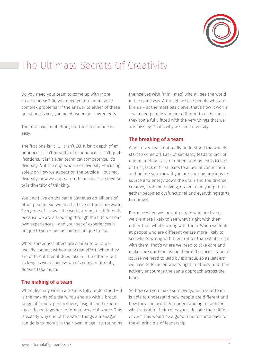

### The Ultimate Secrets Of Creativity

Do you need your team to come up with more creative ideas? Do you need your team to solve complex problems? If the answer to either of these questions is yes, you need two major ingredients.

The first takes real effort, but the second one is easy.

The first one isn't IQ. It isn't EQ. It isn't depth of experience. It isn't breadth of experience. It isn't qualifications. It isn't even technical competence. It's diversity. Not the *appearance* of diversity –focusing solely on how we appear on the outside – but real diversity, how we appear on the inside. True diversity is diversity of thinking.

You and I live on the same planet as do billions of other people. But we don't all live in the same world. Every one of us sees the world around us differently because we are all looking through the filters of our own experiences – and your set of experiences is unique to you – just as mine is unique to me.

When someone's filters are similar to ours we usually connect without any real effort. When they are different then it does take a little effort – but as long as we recognise what's going on it really doesn't take much.

#### The making of a team

When diversity within a team is fully understood - it is the making of a team. You end up with a broad range of inputs, perspectives, insights and experiences fused together to form a powerful whole. This is exactly why one of the worst things a manager can do is to recruit in their own image– surrounding themselves with "mini–mes" who all see the world in the same way. Although we like people who are like us – at the most basic level that's how it works – we need people who are different to us because they come fully fitted with the very things that we are missing. That's why we need diversity.

#### The breaking of a team

When diversity is not really understood the wheels start to come off. Lack of similarity leads to lack of understanding. Lack of understanding leads to lack of trust, lack of trust leads to a lack of connection and before you know it you are pouring precious resource and energy down the drain and the diverse, creative, problem-solving, dream team you put together becomes dysfunctional and everything starts to unravel.

Because when we look at people who are like us we are more likely to see what's right with them rather than what's wrong with them. When we look at people who are different we are more likely to see what's wrong with them rather than what's right with them. That's where we need to take care and make sure our team value their differences – and of course we need to lead by example, so as leaders we have to focus on what's right in others, and then actively encourage the same approach across the team.

So how can you make sure everyone in your team is able to understand how people are different and how they can use their understanding to look for what's right in their colleagues, despite their differences? This would be a good time to come back to the #1 principle of leadership.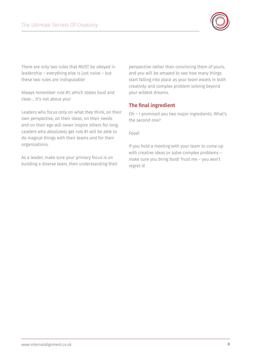

There are only two rules that MUST be obeyed in leadership – everything else is just noise – but these two rules are indisputable!

Always remember rule #1, which states loud and clear…. It's not about you!

Leaders who focus only on what *they* think, on their own perspective, on their ideas, on their needs and on their ego will never inspire others for long. Leaders who absolutely get rule #1 will be able to do magical things with their teams and for their organisations.

As a leader, make sure your primary focus is on building a diverse team, then understanding their

perspective rather than convincing them of yours, and you will be amazed to see how many things start falling into place as your team excels in both creativity and complex problem solving beyond your wildest dreams.

#### The final ingredient

Oh – I promised you two major ingredients. What's the second one?

Food!

If you hold a meeting with your team to come up with creative ideas or solve complex problems – make sure you bring food! Trust me – you won't regret it!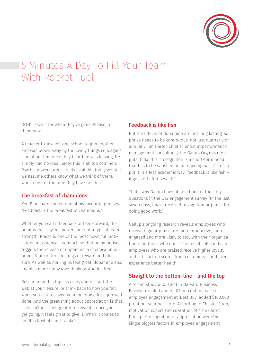

# 5 Minutes A Day To Fill Your Team With Rocket Fuel

DON'T save it for when they've gone. Please, tell them now!

A teacher I know left one school to join another and was blown away by the lovely things colleagues said about him once they heard he was leaving. He simply had no idea. Sadly, this is all too common. Psychic powers aren't freely available today yet still we assume others know what we think of them, when most of the time they have no idea.

#### The breakfast of champions

Ken Blanchard coined one of my favourite phrases "Feedback is the breakfast of champions."

Whether you call it feedback or feed-forward, the point is that psychic powers are not a typical team strength! Praise is one of the most powerful motivators in existence – so much so that being praised triggers the release of dopamine, a chemical in our brains that controls feelings of reward and pleasure. As well as making us feel great, dopamine also enables more innovative thinking. And it's free!

Research on this topic is everywhere – surf the web at your leisure, or think back to how you felt when you last received genuine praise for a job well done. And the great thing about appreciation is that it doesn't just feel great to receive it – once you get going, it feels great to give it. When it comes to feedback, what's not to like?

#### Feedback is like fish

But the effects of dopamine are not long lasting, so praise needs to be continuous, not just quarterly or annually. Jim Harter, chief scientist at performance management consultancy the Gallup Organisation puts it like this: "recognition is a short-term need that has to be satisfied on an ongoing basis" – or to put it in a less academic way "feedback is like fish – it goes off after a week."

That's why Gallup have phrased one of their key questions in the Q12 engagement survey "In the last seven days, I have received recognition or praise for doing good work."

Gallup's ongoing research reveals employees who receive regular praise are more productive, more engaged and more likely to stay with their organisation than those who don't. The results also indicate employees who are praised receive higher loyalty and satisfaction scores from customers – and even experience better health.

#### Straight to the bottom line – and the top

A recent study published in Harvard Business Review revealed a mere 0.1 percent increase in employee engagement at 'Best Buy' added \$100,000 profit per year per store. According to Chester Elton, motivation expert and co-author of "The Carrot Principle" recognition or appreciation were the single biggest factors in employee engagement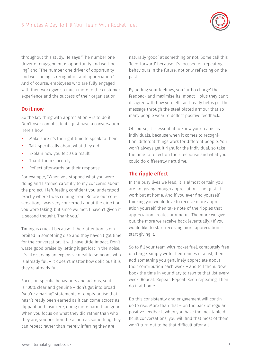

throughout this study. He says "The number one driver of engagement is opportunity and well-being" and "The number one driver of opportunity and well-being is recognition and appreciation." And of course, employees who are fully engaged with their work give so much more to the customer experience and the success of their organisation.

#### Do it now

So the key thing with appreciation – is to do it! Don't over complicate it – just have a conversation. Here's how:

- Make sure it's the right time to speak to them
- Talk specifically about what they did
- Explain how you felt as a result
- Thank them sincerely
- Reflect afterwards on their response

For example, "When you stopped what you were doing and listened carefully to my concerns about the project, I left feeling confident you understood exactly where I was coming from. Before our conversation, I was very concerned about the direction you were taking, but since we met, I haven't given it a second thought. Thank you."

Timing is crucial because if their attention is embroiled in something else and they haven't got time for the conversation, it will have little impact. Don't waste good praise by letting it get lost in the noise. It's like serving an expensive meal to someone who is already full – it doesn't matter how delicious it is, they're already full.

Focus on specific behaviours and actions, so it is 100% clear and genuine – don't get into broad "you're amazing" statements or empty praise that hasn't really been earned as it can come across as flippant and insincere, doing more harm than good. When you focus on what they did rather than who they are, you position the action as something they can repeat rather than merely inferring they are

naturally 'good' at something or not. Some call this 'feed-forward' because it's focused on repeating behaviours in the future, not only reflecting on the past.

By adding your feelings, you 'turbo charge' the feedback and maximise its impact – plus they can't disagree with how you felt, so it really helps get the message through the steel plated armour that so many people wear to deflect positive feedback.

Of course, it is essential to know your teams as individuals, because when it comes to recognition, different things work for different people. You won't always get it right for the individual, so take the time to reflect on their response and what you could do differently next time.

#### The ripple effect

In the busy lives we lead, it is almost certain you are not giving enough appreciation – not just at work but at home. And if you ever find yourself thinking you would love to receive more appreciation yourself, then take note of the ripples that appreciation creates around us. The more we give out, the more we receive back (eventually!) If you would like to start receiving more appreciation – start giving it.

So to fill your team with rocket fuel, completely free of charge, simply write their names in a list, then add something you genuinely appreciate about their contribution each week – and tell them. Now book the time in your diary to rewrite that list every week. Repeat. Repeat. Repeat. Keep repeating. Then do it at home.

Do this consistently and engagement will continue to rise. More than that – on the back of regular positive feedback, when you have the inevitable difficult conversations, you will find that most of them won't turn out to be that difficult after all.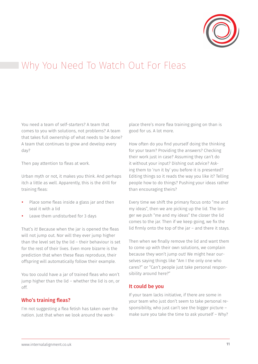

### Why You Need To Watch Out For Fleas

You need a team of self-starters? A team that comes to you with solutions, not problems? A team that takes full ownership of what needs to be done? A team that continues to grow and develop every day?

Then pay attention to fleas at work.

Urban myth or not, it makes you think. And perhaps itch a little as well. Apparently, this is the drill for training fleas:

- Place some fleas inside a glass jar and then seal it with a lid
- y Leave them undisturbed for 3 days

That's it! Because when the jar is opened the fleas will not jump out. Nor will they ever jump higher than the level set by the lid – their behaviour is set for the rest of their lives. Even more bizarre is the prediction that when these fleas reproduce, their offspring will automatically follow their example.

You too could have a jar of trained fleas who won't jump higher than the lid – whether the lid is on, or off.

#### Who's training fleas?

I'm not suggesting a flea fetish has taken over the nation. Just that when we look around the workplace there's more flea training going on than is good for us. A lot more.

How often do you find yourself doing the thinking for your team? Providing the answers? Checking their work just in case? Assuming they can't do it without your input? Dishing out advice? Asking them to 'run it by' you before it is presented? Editing things so it reads the way you like it? Telling people how to do things? Pushing your ideas rather than encouraging theirs?

Every time we shift the primary focus onto "me and my ideas", then we are picking up the lid. The longer we push "me and my ideas" the closer the lid comes to the jar. Then if we keep going, we fix the lid firmly onto the top of the jar – and there it stays.

Then when we finally remove the lid and want them to come up with their own solutions, we complain because they won't jump out! We might hear ourselves saying things like "Am I the only one who cares?" or "Can't people just take personal responsibility around here?"

#### It could be you

If your team lacks initiative, if there are some in your team who just don't seem to take personal responsibility, who just can't see the bigger picture – make sure you take the time to ask yourself – Why?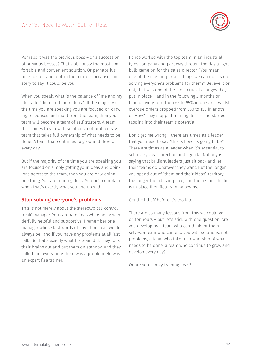

Perhaps it was the previous boss – or a succession of previous bosses? That's obviously the most comfortable and convenient solution. Or perhaps it's time to stop and look in the mirror – because, I'm sorry to say, it could be you.

When you speak, what is the balance of "me and my ideas" to "them and their ideas?" If the majority of the time you are speaking you are focused on drawing responses and input from the team, then your team will become a team of self-starters. A team that comes to you with solutions, not problems. A team that takes full ownership of what needs to be done. A team that continues to grow and develop every day.

But if the majority of the time you are speaking you are focused on simply getting your ideas and opinions across to the team, then you are only doing one thing. You are training fleas. So don't complain when that's exactly what you end up with.

#### Stop solving everyone's problems

This is not merely about the stereotypical 'control freak' manager. You can train fleas while being wonderfully helpful and supportive. I remember one manager whose last words of any phone call would always be "and if you have any problems at all just call." So that's exactly what his team did. They took their brains out and put them on standby. And they called him every time there was a problem. He was an expert flea trainer.

I once worked with the top team in an industrial tyres company and part way through the day a light bulb came on for the sales director. "You mean – one of the most important things we can do is stop solving everyone's problems for them?" Believe it or not, that was one of the most crucial changes they put in place – and in the following 3 months ontime delivery rose from 65 to 95% in one area whilst overdue orders dropped from 350 to 150 in another. How? They stopped training fleas – and started tapping into their team's potential.

Don't get me wrong – there are times as a leader that you need to say "this is how it's going to be." There are times as a leader when it's essential to set a very clear direction and agenda. Nobody is saying that brilliant leaders just sit back and let their teams do whatever they want. But the longer you spend out of "them and their ideas" territory, the longer the lid is in place, and the instant the lid is in place then flea training begins.

Get the lid off before it's too late.

There are so many lessons from this we could go on for hours – but let's stick with one question. Are you developing a team who can think for themselves, a team who come to you with solutions, not problems, a team who take full ownership of what needs to be done, a team who continue to grow and develop every day?

Or are you simply training fleas?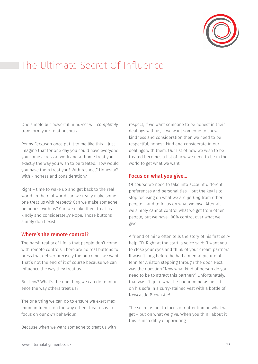

# The Ultimate Secret Of Influence

One simple but powerful mind-set will *completely* transform your relationships.

Penny Ferguson once put it to me like this…. Just imagine that for one day you could have everyone you come across at work and at home treat you exactly the way you wish to be treated. How would you have them treat you? With respect? Honestly? With kindness and consideration?

Right – time to wake up and get back to the real world. In the real world can we really make someone treat us with respect? Can we make someone be honest with us? Can we make them treat us kindly and considerately? Nope. Those buttons simply don't exist.

#### Where's the remote control?

The harsh reality of life is that people don't come with remote controls. There are no real buttons to press that deliver precisely the outcomes we want. That's not the end of it of course because we can influence the way they treat us.

But how? What's the one thing we can do to influence the way others treat us?

The one thing we can do to ensure we exert maximum influence on the way others treat us is to focus on our *own* behaviour.

Because when we want someone to treat us with

respect, if we want someone to be honest in their dealings with us, if we want someone to show kindness and consideration then we need to be respectful, honest, kind and considerate in our dealings with them. Our list of how we wish to be treated becomes a list of how we need to be in the world to get what we want.

#### Focus on what you give…

Of course we need to take into account different preferences and personalities – but the key is to stop focusing on what we are *getting* from other people – and to focus on what we *give!* After all – we simply cannot control what we get from other people, but we have 100% control over what we give.

A friend of mine often tells the story of his first selfhelp CD. Right at the start, a voice said: "I want you to close your eyes and think of your dream partner." It wasn't long before he had a mental picture of Jennifer Aniston stepping through the door. Next was the question "Now what kind of person do you need to be to attract this partner?" Unfortunately, that wasn't quite what he had in mind as he sat on his sofa in a curry-stained vest with a bottle of Newcastle Brown Ale!

The secret is not to focus our attention on what we get – but on what we give. When you think about it, this is incredibly empowering.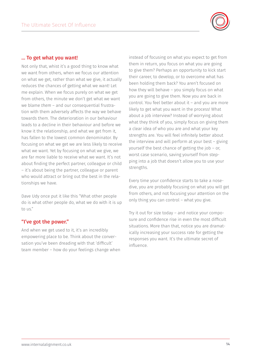

#### … To get what you want!

Not only that, whist it's a good thing to know what we want from others, when we focus our attention on what we get, rather than what we give, it actually reduces the chances of getting what we want! Let me explain. When we focus purely on what we get from others, the minute we don't get what we want we blame *them* – and our consequential frustration with them adversely affects the way we behave towards them. The deterioration in our behaviour leads to a decline in their behaviour and before we know it the relationship, and what we get from it, has fallen to the lowest common denominator. By focusing on what we get we are less likely to receive what we want. Yet by focusing on what we give, we are far more liable to receive what we want. It's not about finding the perfect partner, colleague or child – it's about being the partner, colleague or parent who would attract or bring out the best in the relationships we have.

Dave Udy once put it like this "What other people do is what other people do, what we do with it is up to us."

#### "I've got the power."

And when we get used to it, it's an incredibly empowering place to be. Think about the conversation you've been dreading with that 'difficult' team member – how do your feelings change when

instead of focusing on what you expect to get from them in return, you focus on what you are going to give them? Perhaps an opportunity to kick start their career, to develop, or to overcome what has been holding them back? You aren't focused on how they will behave – you simply focus on what you are going to give them. Now you are back in control. You feel better about it – and you are more likely to get what you want in the process! What about a job interview? Instead of worrying about what they think of you, simply focus on giving them a clear idea of who you are and what your key strengths are. You will feel infinitely better about the interview and will perform at your best – giving yourself the best chance of getting the job – or, worst case scenario, saving yourself from stepping into a job that doesn't allow you to use your strengths.

Every time your confidence starts to take a nosedive, you are probably focusing on what you will get from others, and not focusing your attention on the only thing you can control – what you give.

Try it out for size today – and notice your composure and confidence rise in even the most difficult situations. More than that, notice you are dramatically increasing your success rate for getting the responses you want. It's the ultimate secret of influence.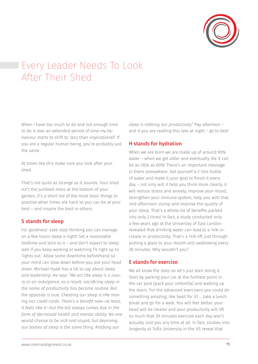

# Every Leader Needs To Look After Their Shed

When I have too much to do and not enough time to do it over an extended period of time my behaviour starts to shift to 'less than inspirational!' If you are a regular human being, you're probably just the same.

At times like this make sure you look after your shed.

That's not quite as strange as it sounds. Your shed isn't the jumbled mess at the bottom of your garden, it's a short list of the most basic things to practise when times are hard so you can be at your best – and inspire the best in others.

#### S stands for sleep

For goodness' sake stop thinking you can manage on a few hours sleep a night! Set a reasonable bedtime and stick to it – and don't expect to sleep well if you keep working or watching TV right up to 'lights out.' Allow some downtime beforehand so your mind can slow down before you put your head down. Michael Hyatt has a lot to say about sleep and leadership. He says *"We act like sleep is a luxury or an indulgence; as a result, sacrificing sleep in the name of productivity has become routine. But the opposite is true. Cheating our sleep is like maxing our credit cards. There's a benefit now—at least, it feels like it—but the bill always comes due in the form of decreased health and mental ability. No one would choose to be sick and stupid, but depriving our bodies of sleep is the same thing. Robbing our* 

*sleep is robbing our productivity."* Pay attention – and it you are reading this late at night – go to bed!

#### H stands for hydration

When we are born we are made up of around 90% water – when we get older and eventually die it can be as little as 60%! There's an important message in there somewhere. Get yourself a 2 litre bottle of water and make it your goal to finish it every day – not only will it help you think more clearly, it will reduce stress and anxiety, improve your mood, strengthen your immune system, help you with that mid-afternoon slump and improve the quality of your sleep. That's a whole lot of benefits packed into only 2 litres! In fact, a study conducted only a few years ago at the University of East London revealed that drinking water can lead to a 14% increase in productivity. That's a 14% lift just through putting a glass to your mouth and swallowing every 30 minutes. Why wouldn't you?

#### E stands for exercise

We all know the stats so let's just start doing it. Start by parking your car at the furthest point in the car park (pack your umbrella) and walking up the stairs. For the advanced exercisers you could do something amazing, like (wait for it) … take a lunch break and go for a walk. You will feel better, your head will be clearer and your productivity will lift so much that 30 minutes exercise each day won't actually cost you any time at all. In fact, studies into longevity at Tufts University in the US reveal that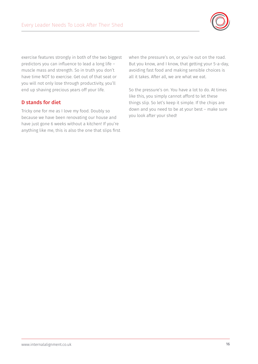

exercise features strongly in both of the two biggest predictors you can influence to lead a long life – muscle mass and strength. So in truth you don't have time NOT to exercise. Get out of that seat or you will not only lose through productivity, you'll end up shaving precious years off your life.

#### D stands for diet

Tricky one for me as I love my food. Doubly so because we have been renovating our house and have just gone 6 weeks without a kitchen! If you're anything like me, this is also the one that slips first when the pressure's on, or you're out on the road. But you know, and I know, that getting your 5-a-day, avoiding fast food and making sensible choices is all it takes. After all, we are what we eat.

So the pressure's on. You have a lot to do. At times like this, you simply cannot afford to let these things slip. So let's keep it simple. If the chips are down and you need to be at your best – make sure you look after your shed!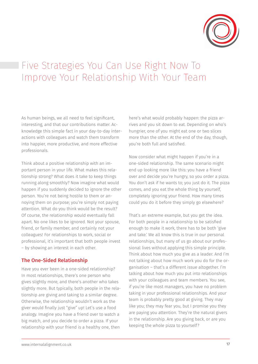

# Five Strategies You Can Use Right Now To Improve Your Relationship With Your Team

As human beings, we all need to feel significant, interesting, and that our contributions matter. Acknowledge this simple fact in your day-to-day interactions with colleagues and watch them transform into happier, more productive, and more effective professionals.

Think about a positive relationship with an important person in your life. What makes this relationship strong? What does it take to keep things running along smoothly? Now imagine what would happen if you suddenly decided to ignore the other person. You're not being hostile to them or annoying them on purpose; you're simply not paying attention. What do you think would be the result? Of course, the relationship would eventually fall apart. No one likes to be ignored. Not your spouse, friend, or family member, and certainly not your colleagues! For relationships to work, social or professional, it's important that both people invest – by showing an interest in each other.

#### The One-Sided Relationship

Have you ever been in a one-sided relationship? In most relationships, there's one person who gives slightly more, and there's another who takes slightly more. But typically, both people in the relationship are giving and taking to a similar degree. Otherwise, the relationship wouldn't work as the giver would finally just "give" up! Let's use a food analogy. Imagine you have a friend over to watch a big match, and you decide to order a pizza. If your relationship with your friend is a healthy one, then

here's what would probably happen: the pizza arrives and you sit down to eat. Depending on who's hungrier, one of you might eat one or two slices more than the other. At the end of the day, though, you're both full and satisfied.

Now consider what might happen if you're in a one-sided relationship. The same scenario might end up looking more like this: you have a friend over and decide you're hungry, so you order a pizza. You don't ask if he wants to; you just do it. The pizza comes, and you eat the whole thing by yourself, completely ignoring your friend. How many times could you do it before they simply go elsewhere?

That's an extreme example, but you get the idea. For both people in a relationship to be satisfied enough to make it work, there has to be both 'give and take.' We all know this is true in our personal relationships, but many of us go about our professional lives without applying this simple principle. Think about how much you give as a leader. And I'm not talking about how much work you do for the organisation – that's a different issue altogether. I'm talking about how much you put into relationships with your colleagues and team members. You see, if you're like most managers, you have no problem taking in your professional relationships. And your team is probably pretty good at giving. They may like you; they may fear you, but I promise you they are paying you attention. They're the natural givers in the relationship. Are you giving back, or are you keeping the whole pizza to yourself?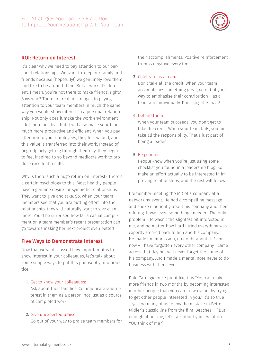

#### ROI: Return on Interest

It's clear why we need to pay attention to our personal relationships. We want to keep our family and friends because (hopefully!) we genuinely love them and like to be around them. But at work, it's different. I mean, you're not there to make friends, right? Says who? There are real advantages to paying attention to your team members in much the same way you would show interest in a personal relationship. Not only does it make the work environment a lot more positive, but it will also make your team much more productive and efficient. When you pay attention to your employees, they feel valued, and this value is transferred into their work. Instead of begrudgingly getting through their day, they begin to feel inspired to go beyond mediocre work to produce excellent results!

Why is there such a huge return on interest? There's a certain psychology to this. Most healthy people have a genuine desire for symbiotic relationships. They want to give and take. So, when your team members see that you are putting effort into the relationship, they will naturally want to give even more. You'd be surprised how far a casual compliment on a team member's recent presentation can go towards making her next project even better!

#### Five Ways to Demonstrate Interest

Now that we've discussed how important it is to show interest in your colleagues, let's talk about some simple ways to put this philosophy into practice.

#### 1. Get to know your colleagues:

Ask about their families. Communicate your interest in them as a person, not just as a source of completed work.

#### 2. Give unexpected praise:

Go out of your way to praise team members for

their accomplishments. Positive reinforcement trumps negative every time.

#### 3. Celebrate as a team:

Don't take all the credit. When your team accomplishes something great, go out of your way to emphasise their contribution – as a team and individually. Don't hog the pizza!

#### 4. Defend them:

When your team succeeds, you don't get to take the credit. When your team fails, you must take all the responsibility. That's just part of being a leader.

#### 5. Be genuine:

People know when you're just using some checklist you found in a leadership blog. So make an effort actually to be interested in improving relationships, and the rest will follow.

I remember meeting the MD of a company at a networking event. He had a compelling message and spoke eloquently about his company and their offering. It was even something I needed. The only problem? He wasn't the slightest bit interested in me, and no matter how hard I tried everything was expertly steered back to him and his company. He made an impression, no doubt about it. Even now – I have forgotten every other company I came across that day but will never forget the name of his company. And I made a mental note never to do business with them, ever.

Dale Carnegie once put it like this "You can make more friends in two months by becoming interested in other people than you can in two years by trying to get other people interested in you." It's so true – yet too many of us follow the mistake in Bette Midler's classic line from the film 'Beaches' – "But enough about me, let's talk about you… what do YOU think of me?"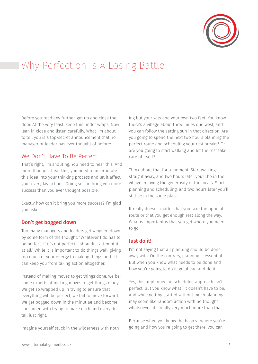

# Why Perfection Is A Losing Battle

Before you read any further, get up and close the door. At the very least, keep this under wraps. Now lean in close and listen carefully. What I'm about to tell you is a top-secret announcement that no manager or leader has ever thought of before:

#### We Don't Have To Be Perfect!

That's right, I'm shouting. You need to hear this. And more than just hear this, you need to incorporate this idea into your thinking process and let it affect your everyday actions. Doing so can bring you more success than you ever thought possible.

Exactly how can it bring you more success? I'm glad you asked.

#### Don't get bogged down

Too many managers and leaders get weighed down by some form of the thought, "Whatever I do has to be perfect. If it's not perfect, I shouldn't attempt it at all." While it is important to do things well, giving too much of your energy to making things perfect can keep you from taking action altogether.

Instead of making moves to get things done, we become experts at making moves to get things ready. We get so wrapped up in trying to ensure that everything will be perfect, we fail to move forward. We get bogged down in the minutiae and become consumed with trying to make each and every detail just right.

Imagine yourself stuck in the wilderness with noth-

ing but your wits and your own two feet. You know there's a village about three miles due west, and you can follow the setting sun in that direction. Are you going to spend the next two hours planning the perfect route and scheduling your rest breaks? Or are you going to start walking and let the rest take care of itself?

Think about that for a moment. Start walking straight away, and two hours later you'll be in the village enjoying the generosity of the locals. Start planning and scheduling, and two hours later you'll still be in the same place.

It really doesn't matter that you take the optimal route or that you get enough rest along the way. What is important is that you get where you need to go.

#### Just do it!

I'm not saying that all planning should be done away with. On the contrary, planning is essential. But when you know what needs to be done and how you're going to do it, go ahead and do it.

Yes, this unplanned, unscheduled approach isn't perfect. But you know what? It doesn't have to be. And while getting started without much planning may seem like random action with no thought whatsoever, it's really very much more than that.

Because when you know the basics—where you're going and how you're going to get there, you can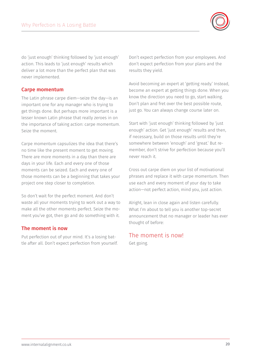

do 'just enough' thinking followed by 'just enough' action. This leads to 'just enough' results which deliver a lot more than the perfect plan that was never implemented.

#### Carpe momentum

The Latin phrase carpe diem—seize the day—is an important one for any manager who is trying to get things done. But perhaps more important is a lesser known Latin phrase that really zeroes in on the importance of taking action: carpe momentum. Seize the moment.

Carpe momentum capsulizes the idea that there's no time like the present moment to get moving. There are more moments in a day than there are days in your life. Each and every one of those moments can be seized. Each and every one of those moments can be a beginning that takes your project one step closer to completion.

So don't wait for the perfect moment. And don't waste all your moments trying to work out a way to make all the other moments perfect. Seize the moment you've got, then go and do something with it.

#### The moment is now

Put perfection out of your mind. It's a losing battle after all. Don't expect perfection from yourself. Don't expect perfection from your employees. And don't expect perfection from your plans and the results they yield.

Avoid becoming an expert at 'getting ready.' Instead, become an expert at getting things done. When you know the direction you need to go, start walking. Don't plan and fret over the best possible route, just go. You can always change course later on.

Start with 'just enough' thinking followed by 'just enough' action. Get 'just enough' results and then, if necessary, build on those results until they're somewhere between 'enough' and 'great.' But remember, don't strive for perfection because you'll never reach it.

Cross out carpe diem on your list of motivational phrases and replace it with carpe momentum. Then use each and every moment of your day to take action—not perfect action, mind you, just action.

Alright, lean in close again and listen carefully. What I'm about to tell you is another top-secret announcement that no manager or leader has ever thought of before:

### The moment is now!

Get going.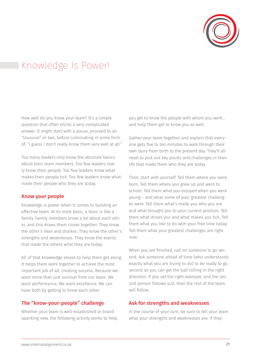

### Knowledge Is Power!

How well do you know your team? It's a simple question that often elicits a very complicated answer. It might start with a pause, proceed to an "Uuuuum" or two, before culminating in some form of, "I guess I don't really know them very well at all."

Too many leaders only know the absolute basics about their team members. Too few leaders really know their people. Too few leaders know what makes their people tick. Too few leaders know what made their people who they are today.

#### Know your people

Knowledge is power when it comes to building an effective team. At its most basic, a team is like a family. Family members know a lot about each other, and this draws them closer together. They know the other's likes and dislikes. They know the other's strengths and weaknesses. They know the events that made the others what they are today.

All of that knowledge serves to help them get along. It helps them work together to achieve the most important job of all: creating success. Because we want more than just survival from our team. We want performance. We want excellence. We can have both by getting to know each other.

#### The "know-your-people" challenge

Whether your team is well-established or brand spanking new, the following activity works to help you get to know the people with whom you work… and help them get to know you as well.

Gather your team together and explain that everyone gets five to ten minutes to walk through their own story from birth to the present day. They'll all need to pick out key points and challenges in their life that made them who they are today.

Then, start with yourself. Tell them where you were born. Tell them where you grew up and went to school. Tell them what you enjoyed when you were young – and what some of your greatest challenges were. Tell them what's made you who you are and what brought you to your current position. Tell them what drives you and what makes you tick. Tell them what you like to do with your free time today. Tell them what your greatest challenges are right now.

When you are finished, call on someone to go second. Ask someone ahead of time (who understands exactly what you are trying to do) to be ready to go second so you can get the ball rolling in the right direction. If you set the right example, and the second person follows suit, then the rest of the team will follow.

#### Ask for strengths and weaknesses

In the course of your turn, be sure to tell your team what your strengths and weaknesses are. If they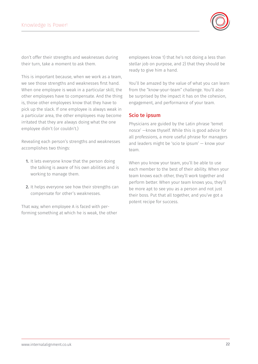

don't offer their strengths and weaknesses during their turn, take a moment to ask them.

This is important because, when we work as a team, we see those strengths and weaknesses first hand. When one employee is weak in a particular skill, the other employees have to compensate. And the thing is, those other employees know that they have to pick up the slack. If one employee is always weak in a particular area, the other employees may become irritated that they are always doing what the one employee didn't (or couldn't.)

Revealing each person's strengths and weaknesses accomplishes two things:

- 1. It lets everyone know that the person doing the talking is aware of his own abilities and is working to manage them.
- 2. It helps everyone see how their strengths can compensate for other's weaknesses.

That way, when employee A is faced with performing something at which he is weak, the other employees know 1) that he's not doing a less than stellar job on purpose, and 2) that they should be ready to give him a hand.

You'll be amazed by the value of what you can learn from the "know-your-team" challenge. You'll also be surprised by the impact it has on the cohesion, engagement, and performance of your team.

#### Scio te ipsum

Physicians are guided by the Latin phrase 'temet nosce' —know thyself. While this is good advice for all professions, a more useful phrase for managers and leaders might be 'scio te ipsum' — know your team.

When you know your team, you'll be able to use each member to the best of their ability. When your team knows each other, they'll work together and perform better. When your team knows you, they'll be more apt to see you as a person and not just their boss. Put that all together, and you've got a potent recipe for success.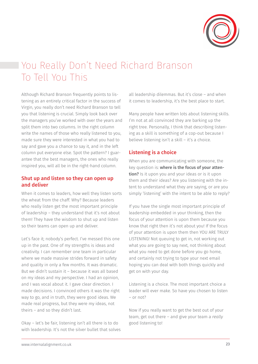

# You Really Don't Need Richard Branson To Tell You This

Although Richard Branson frequently points to listening as an entirely critical factor in the success of Virgin, you really don't need Richard Branson to tell you that listening is crucial. Simply look back over the managers you've worked with over the years and split them into two columns. In the right column write the names of those who really listened to you, made sure they were interested in what you had to say and gave you a chance to say it, and in the left column put everyone else. Spot the pattern? I guarantee that the best managers, the ones who really inspired you, will all be in the right-hand column.

#### Shut up and listen so they can open up and deliver

When it comes to leaders, how well they listen sorts the wheat from the chaff. Why? Because leaders who really listen get the most important principle of leadership – they understand that it's not about them! They have the wisdom to shut up and listen so their teams can open up and deliver.

Let's face it; nobody's perfect. I've messed this one up in the past. One of my strengths is ideas and creativity. I can remember one team in particular where we made massive strides forward in safety and quality in only a few months. It was dramatic. But we didn't sustain it – because it was all based on my ideas and my perspective. I had an opinion, and I was vocal about it. I gave clear direction. I made decisions. I convinced others it was the right way to go, and in truth, they were good ideas. We made real progress, but they were my ideas, not theirs – and so they didn't last.

Okay – let's be fair, listening isn't all there is to do with leadership. It's not the silver bullet that solves all leadership dilemmas. But it's close – and when it comes to leadership, it's the best place to start.

Many people have written lots about listening skills. I'm not at all convinced they are barking up the right tree. Personally, I think that describing listening as a skill is something of a cop-out because I believe listening isn't a skill – it's a choice.

#### Listening is a choice

When you are communicating with someone, the key question is: where is the focus of your attention? Is it upon you and your ideas or is it upon them and their ideas? Are you listening with the intent to understand what they are saying, or are you simply 'listening' with the intent to be able to reply?

If you have the single most important principle of leadership embedded in your thinking, then the focus of your attention is upon them because you know that right then it's not about you! If the focus of your attention is upon them then YOU ARE TRULY LISTENING! Not queuing to get in, not working out what you are going to say next, not thinking about what you need to get done before you go home, and certainly not trying to type your next email hoping you can deal with both things quickly and get on with your day.

Listening is a choice. The most important choice a leader will ever make. So have you chosen to listen – or not?

Now if you really want to get the best out of your team, get out there – and give your team a *really* good listening to!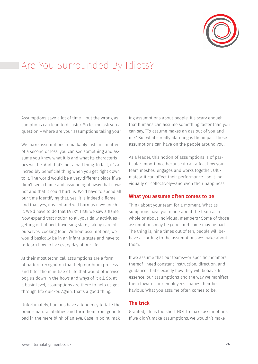

### Are You Surrounded By Idiots?

Assumptions save a lot of time – but the wrong assumptions can lead to disaster. So let me ask you a question – where are your assumptions taking you?

We make assumptions remarkably fast. In a matter of a second or less, you can see something and assume you know what it is and what its characteristics will be. And that's not a bad thing. In fact, it's an incredibly beneficial thing when you get right down to it. The world would be a very different place if we didn't see a flame and assume right away that it was hot and that it could hurt us. We'd have to spend all our time identifying that, yes, it is indeed a flame and that, yes, it is hot and will burn us if we touch it. We'd have to do that EVERY TIME we saw a flame. Now expand that notion to all your daily activities getting out of bed, traversing stairs, taking care of ourselves, cooking food. Without assumptions, we would basically be in an infantile state and have to re-learn how to live every day of our life.

At their most technical, assumptions are a form of pattern recognition that help our brain process and filter the minutiae of life that would otherwise bog us down in the hows and whys of it all. So, at a basic level, assumptions are there to help us get through life quicker. Again, that's a good thing.

Unfortunately, humans have a tendency to take the brain's natural abilities and turn them from good to bad in the mere blink of an eye. Case in point: making assumptions about people. It's scary enough that humans can assume something faster than you can say, "To assume makes an ass out of you and me." But what's really alarming is the impact those assumptions can have on the people around you.

As a leader, this notion of assumptions is of particular importance because it can affect how your team meshes, engages and works together. Ultimately, it can affect their performance—be it individually or collectively—and even their happiness.

#### What you assume often comes to be

Think about your team for a moment. What assumptions have you made about the team as a whole or about individual members? Some of those assumptions may be good, and some may be bad. The thing is, nine times out of ten, people will behave according to the assumptions we make about them.

If we assume that our teams—or specific members thereof—need constant instruction, direction, and guidance, that's exactly how they will behave. In essence, our assumptions and the way we manifest them towards our employees shapes their behaviour. What you assume often comes to be.

#### The trick

Granted, life is too short NOT to make assumptions. If we didn't make assumptions, we wouldn't make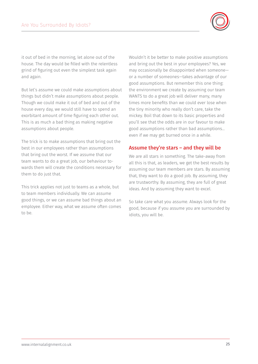

it out of bed in the morning, let alone out of the house. The day would be filled with the relentless grind of figuring out even the simplest task again and again.

But let's assume we could make assumptions about things but didn't make assumptions about people. Though we could make it out of bed and out of the house every day, we would still have to spend an exorbitant amount of time figuring each other out. This is as much a bad thing as making negative assumptions about people.

The trick is to make assumptions that bring out the best in our employees rather than assumptions that bring out the worst. If we assume that our team wants to do a great job, our behaviour towards them will create the conditions necessary for them to do just that.

This trick applies not just to teams as a whole, but to team members individually. We can assume good things, or we can assume bad things about an employee. Either way, what we assume often comes to be.

Wouldn't it be better to make positive assumptions and bring out the best in your employees? Yes, we may occasionally be disappointed when someone or a number of someones—takes advantage of our good assumptions. But remember this one thing: the environment we create by assuming our team WANTS to do a great job will deliver many, many times more benefits than we could ever lose when the tiny minority who really don't care, take the mickey. Boil that down to its basic properties and you'll see that the odds are in our favour to make good assumptions rather than bad assumptions… even if we may get burned once in a while.

#### Assume they're stars – and they will be

We are all stars in something. The take-away from all this is that, as leaders, we get the best results by assuming our team members are stars. By assuming that, they want to do a good job. By assuming, they are trustworthy. By assuming, they are full of great ideas. And by assuming they want to excel.

So take care what you assume. Always look for the good, because if you assume you are surrounded by idiots, you will be.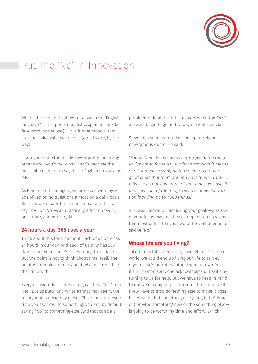

### Put The 'No' In Innovation

What's the most difficult word to say in the English language? Is it supercalifragilisticexpialidocious (a fake word, by the way)? Or is it pneumonoultramicroscopicsilicovolcanoconiosis (a real word, by the way)?

If you guessed either of these—or pretty much any other word—you'd be wrong. That's because the most difficult word to say in the English language is  $^{\prime\prime}$ No."

As leaders and managers, we are faced with myriads of yes-or-no questions almost on a daily basis. But how we answer those questions—whether we say "Yes" or "No"—can drastically affect our work, our future, and our very life.

#### 24 hours a day, 365 days a year

Think about this for a moment: Each of us only has 24 hours in our day. And each of us only has 365 days in our year. There's no escaping those facts. But the point is not to think about time itself. The point is to think carefully about what we are filling that time with.

Every decision that comes along can be a "Yes" or a "No." But as black and white as that may seem, the reality of it is decidedly greyer. That's because every time you say "Yes" to something, you are, by default, saying "No" to something else. And that can be a

problem for leaders and managers when the "Yes" answers begin to get in the way of what's crucial.

Steve Jobs summed up this concept nicely in a now-famous quote. He said,

*"People think focus means saying yes to the thing you've got to focus on. But that's not what it means at all. It means saying no to the hundred other good ideas that there are. You have to pick carefully. I'm actually as proud of the things we haven't done, as I am of the things we have done. Innovation is saying no to 1,000 things."*

Success, innovation, achieving your goals—whatever your focus may be, they all depend on speaking that most difficult English word. They all depend on saying "No."

#### Whose life are you living?

Taken to its fullest extreme, if we let "Yes" rule our world, we could end up living our life to suit everyone else's priorities rather than our own. Yes, it's nice when someone acknowledges our skills by turning to us for help. But we have to keep in mind that if we're going to pick up something new, we'll likely have to drop something else to make it possible. What is that something else going to be? Which option—the something new or the something else is going to be worth my time and effort? Which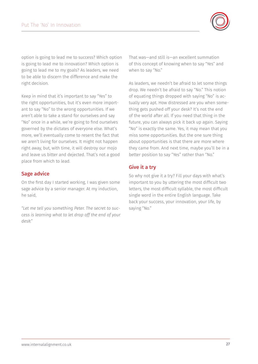

option is going to lead me to success? Which option is going to lead me to innovation? Which option is going to lead me to my goals? As leaders, we need to be able to discern the difference and make the right decision.

Keep in mind that it's important to say "Yes" to the right opportunities, but it's even more important to say "No" to the wrong opportunities. If we aren't able to take a stand for ourselves and say "No" once in a while, we're going to find ourselves governed by the dictates of everyone else. What's more, we'll eventually come to resent the fact that we aren't living for ourselves. It might not happen right away, but, with time, it will destroy our mojo and leave us bitter and dejected. That's not a good place from which to lead.

#### Sage advice

On the first day I started working, I was given some sage advice by a senior manager. At my induction, he said,

*"Let me tell you something Peter. The secret to success is learning what to let drop off the end of your desk."*

That was—and still is—an excellent summation of this concept of knowing when to say "Yes" and when to say "No."

As leaders, we needn't be afraid to let some things drop. We needn't be afraid to say "No." This notion of equating things dropped with saying "No" is actually very apt. How distressed are you when something gets pushed off your desk? It's not the end of the world after all. If you need that thing in the future, you can always pick it back up again. Saying "No" is exactly the same. Yes, it may mean that you miss some opportunities. But the one sure thing about opportunities is that there are more where they came from. And next time, maybe you'll be in a better position to say "Yes" rather than "No."

#### Give it a try

So why not give it a try? Fill your days with what's important to you by uttering the most difficult two letters, the most difficult syllable, the most difficult single word in the entire English language. Take back your success, your innovation, your life, by saying "No."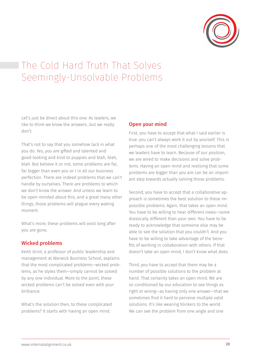

# The Cold Hard Truth That Solves Seemingly-Unsolvable Problems

Let's just be direct about this one: As leaders, we like to think we know the answers…but we really don't.

That's not to say that you somehow lack in what you do. Yes, you are gifted and talented and good-looking and kind to puppies and blah, blah, blah. But believe it or not, some problems are far, far bigger than even you or I in all our business perfection. There are indeed problems that we can't handle by ourselves. There are problems to which we don't know the answer. And unless we learn to be open-minded about this, and a great many other things, those problems will plague every waking moment.

What's more, these problems will exist long after you are gone.

#### Wicked problems

Keith Grint, a professor of public leadership and management at Warwick Business School, explains that the most complicated problems—wicked problems, as he styles them—simply cannot be solved by any one individual. More to the point, these wicked problems can't be solved even with your brilliance.

What's the solution then, to these complicated problems? It starts with having an open mind.

#### Open your mind

First, you have to accept that what I said earlier is true: you can't always work it out by yourself. This is perhaps one of the most challenging lessons that we leaders have to learn. Because of our position, we are wired to make decisions and solve problems. Having an open mind and realising that some problems are bigger than you are can be an important step towards actually solving those problems.

Second, you have to accept that a collaborative approach is sometimes the best solution to these impossible problems. Again, that takes an open mind. You have to be willing to hear different views—some drastically different than your own. You have to be ready to acknowledge that someone else may be able to see the solution that you couldn't. And you have to be willing to take advantage of the benefits of working in collaboration with others. If that doesn't take an open mind, I don't know what does.

Third, you have to accept that there may be a number of possible solutions to the problem at hand. That certainly takes an open mind. We are so conditioned by our education to see things as right or wrong—as having only one answer—that we sometimes find it hard to perceive multiple valid solutions. It's like wearing blinkers to the world. We can see the problem from one angle and one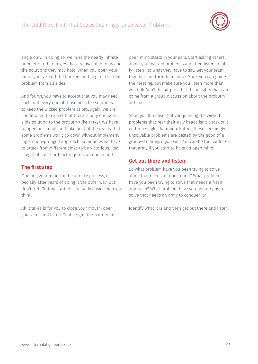

angle only. In doing so, we miss the nearly infinite number of other angles that are available to us and the solutions they may hold. When you open your mind, you take off the blinkers and begin to see the problem from all sides.

And fourth, you have to accept that you may need each and every one of those possible solutions to keep the wicked problem at bay. Again, we are conditioned to expect that there is only one possible solution to the problem (like 1+1=2). We have to open our minds and take hold of the reality that some problems won't go down without implementing a multi-pronged approach. Sometimes we have to attack from different sides to be victorious. Realising that cold hard fact requires an open mind.

#### The first step

Opening your mind can be a tricky process, especially after years of doing it the other way. But don't fret. Getting started is actually easier than you think.

All it takes is for you to close your mouth, open your ears, and listen. That's right, the path to an open mind starts in your ears. Start asking others about your wicked problems and then listen—really listen—to what they have to say. Get your team together and turn them loose. Sure, you can guide the meeting, but make sure you listen more than you talk. You'll be surprised at the insights that can come from a group discussion about the problem at hand.

Soon you'll realise that vanquishing the wicked problems that rear their ugly heads isn't a task suited for a single champion. Rather, these seemingly unsolvable problems are bested by the good of a group—an army, if you will. You can be the leader of that army if you start to have an open mind.

#### Get out there and listen

So what problem have you been trying to solve alone that needs an open mind? What problem have you been trying to solve that needs a fresh approach? What problem have you been trying to solve that needs an army to conquer it?

Identify what it is and then get out there and listen.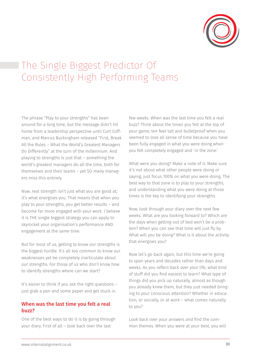

# The Single Biggest Predictor Of Consistently High Performing Teams

The phrase "Play to your strengths" has been around for a long time, but the message didn't hit home from a leadership perspective until Curt Coffman, and Marcus Buckingham released "First, Break All the Rules – What the World's Greatest Managers Do Differently" at the turn of the millennium. And playing to strengths is just that – something the world's greatest managers do all the time, both for themselves and their teams – yet SO many managers miss this entirely.

Now, real strength isn't just what you are good at; it's what energises you. That means that when you play to your strengths, you get better results – and become far more engaged with your work. I believe it is THE single biggest strategy you can apply to skyrocket your organisation's performance AND engagement at the same time.

But for most of us, getting to know our strengths is the biggest hurdle. It's all too common to know our weaknesses yet be completely inarticulate about our strengths. For those of us who don't know how to identify strengths where can we start?

It's easier to think if you ask the right questions – just grab a pen and some paper and get stuck in.

#### When was the last time you felt a real buzz?

One of the best ways to do it is by going through your diary. First of all – look back over the last

few weeks. When was the last time you felt a real buzz? Think about the times you felt at the top of your game, ten feet tall and bulletproof when you seemed to lose all sense of time because you have been fully engaged in what you were doing when you felt completely engaged and 'in the zone.'

What were you doing? Make a note of it. Make sure it's not about what other people were doing or saying, just focus 100% on what you were doing. The best way to that zone is to play to your strengths, and understanding what you were doing at those times is the key to identifying your strengths.

Now, look through your diary over the next few weeks. What are you looking forward to? Which are the days when getting out of bed won't be a problem? When you can see that time will just fly by. What will you be doing? What is it about the activity that energises you?

Now let's go back again, but this time we're going to span years and decades rather than days and weeks. As you reflect back over your life, what kind of stuff did you find easiest to learn? What type of things did you pick up naturally, almost as though you already knew them, but they just needed bringing to your conscious attention? Whether in education, or socially, or at work – what comes naturally to you?

Look back over your answers and find the common themes. When you were at your best, you will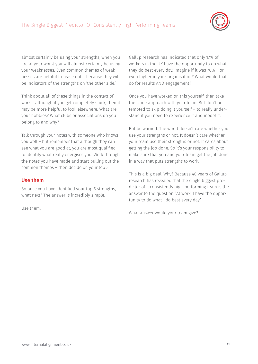

almost certainly be using your strengths, when you are at your worst you will almost certainly be using your weaknesses. Even common themes of weaknesses are helpful to tease out – because they will be indicators of the strengths on 'the other side.'

Think about all of these things in the context of work – although if you get completely stuck, then it may be more helpful to look elsewhere. What are your hobbies? What clubs or associations do you belong to and why?

Talk through your notes with someone who knows you well – but remember that although they can see what you are good at, you are most qualified to identify what really energises you. Work through the notes you have made and start pulling out the common themes – then decide on your top 5.

#### Use them

So once you have identified your top 5 strengths, what next? The answer is incredibly simple.

Use them.

Gallup research has indicated that only 17% of workers in the UK have the opportunity to do what they do best every day. Imagine if it was 70% – or even higher in your organisation? What would that do for results AND engagement?

Once you have worked on this yourself, then take the same approach with your team. But don't be tempted to skip doing it yourself – to really understand it you need to experience it and model it.

But be warned. The world doesn't care whether you use your strengths or not. It doesn't care whether your team use their strengths or not. It cares about getting the job done. So it's your responsibility to make sure that you and your team get the job done in a way that puts strengths to work.

This is a big deal. Why? Because 40 years of Gallup research has revealed that the single biggest predictor of a consistently high-performing team is the answer to the question "At work, I have the opportunity to do what I do best every day."

What answer would your team give?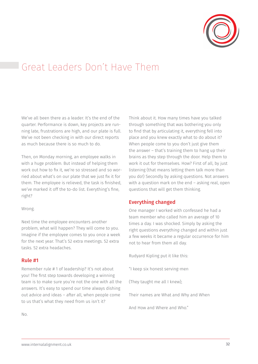

### Great Leaders Don't Have Them

We've all been there as a leader. It's the end of the quarter. Performance is down, key projects are running late, frustrations are high, and our plate is full. We've not been checking in with our direct reports as much because there is so much to do.

Then, on Monday morning, an employee walks in with a huge problem. But instead of helping them work out how to fix it, we're so stressed and so worried about what's on our plate that we just fix it for them. The employee is relieved, the task is finished, we've marked it off the to-do list. Everything's fine, right?

#### Wrong.

Next time the employee encounters another problem, what will happen? They will come to you. Imagine if the employee comes to you once a week for the next year. That's 52 extra meetings. 52 extra tasks. 52 extra headaches.

#### Rule #1

Remember rule # 1 of leadership? It's not about you! The first step towards developing a winning team is to make sure you're not the one with all the answers. It's easy to spend our time always dishing out advice and ideas – after all, when people come to us that's what they need from us isn't it?

Think about it. How many times have you talked through something that was bothering you only to find that by articulating it, everything fell into place and you knew exactly what to do about it? When people come to you don't just give them the answer – that's training them to hang up their brains as they step through the door. Help them to work it out for themselves. How? First of all, by just listening (that means letting them talk more than you do!) Secondly by asking questions. Not answers with a question mark on the end – asking real, open questions that will get them thinking.

#### Everything changed

One manager I worked with confessed he had a team member who called him an average of 10 times a day. I was shocked. Simply by asking the right questions *everything* changed and within just a few weeks it became a regular occurrence for him not to hear from them all day.

Rudyard Kipling put it like this:

"I keep six honest serving-men

(They taught me all I knew);

Their names are What and Why and When

And How and Where and Who."

No.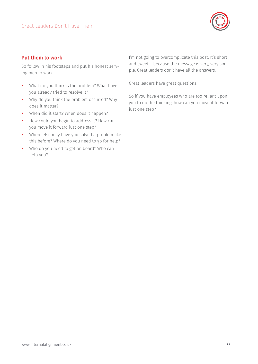

#### Put them to work

So follow in his footsteps and put his honest serving men to work:

- What do you think is the problem? What have you already tried to resolve it?
- Why do you think the problem occurred? Why does it matter?
- When did it start? When does it happen?
- How could you begin to address it? How can you move it forward just one step?
- Where else may have you solved a problem like this before? Where do you need to go for help?
- Who do you need to get on board? Who can help you?

I'm not going to overcomplicate this post. It's short and sweet – because the message is very, very simple. Great leaders don't have all the answers.

Great leaders have great questions.

So if you have employees who are too reliant upon you to do the thinking, how can you move it forward just one step?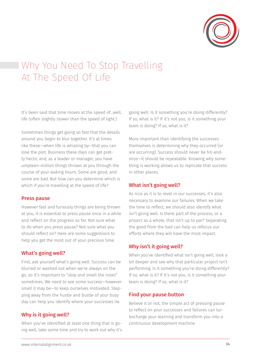

# Why You Need To Stop Travelling At The Speed Of Life

It's been said that time moves at the speed of…well, life (often slightly slower than the speed of light.)

Sometimes things get going so fast that the details around you begin to blur together. It's at times like these—when life is whizzing by—that you can lose the plot. Business these days can get pretty hectic and, as a leader or manager, you have umpteen-million things thrown at you through the course of your waking hours. Some are good, and some are bad. But how can you determine which is which if you're travelling at the speed of life?

#### Press pause

However fast and furiously things are being thrown at you, it is essential to press pause once in a while and reflect on the progress so far. Not sure what to do when you press pause? Not sure what you should reflect on? Here are some suggestions to help you get the most out of your precious time.

#### What's going well?

First, ask yourself what's going well. Success can be blurred or washed out when we're always on the go, so it's important to "stop and smell the roses" sometimes. We need to see some success—however small it may be—to keep ourselves motivated. Stepping away from the hustle and bustle of your busy day can help you identify where your successes lie.

#### Why is it going well?

When you've identified at least one thing that is going well, take some time and try to work out why it's

going well. Is it something you're doing differently? If so, what is it? If it's not you, is it something your team is doing? If so, what is it?

More important than identifying the successes themselves is determining why they occurred (or are occurring). Success should never be hit-andmiss—it should be repeatable. Knowing why something is working allows us to replicate that success in other places.

#### What isn't going well?

As nice as it is to revel in our successes, it's also necessary to examine our failures. When we take the time to reflect, we should also identify what isn't going well. Is there part of the process, or a project as a whole, that isn't up to par? Separating the good from the bad can help us refocus our efforts where they will have the most impact.

#### Why isn't it going well?

When you've identified what isn't going well, look a bit deeper and see why that particular project isn't performing. Is it something you're doing differently? If so, what is it? If it's not you, is it something your team is doing? If so, what is it?

#### Find your pause button

Believe it or not, the simple act of pressing pause to reflect on your successes and failures can turbocharge your learning and transform you into a continuous development machine.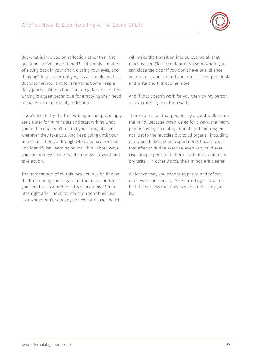

But what is involved on reflection other than the questions we've just outlined? Is it simply a matter of sitting back in your chair, closing your eyes, and thinking? To some extent yes, it's as simple as that. But that method isn't for everyone. Some keep a daily journal. Others find that a regular dose of free writing is a great technique for emptying their head to make room for quality reflection.

If you'd like to try the free-writing technique, simply set a timer for 10 minutes and start writing what you're thinking. Don't restrict your thoughts—go wherever they take you. And keep going until your time is up. Then go through what you have written and identify key learning points. Think about ways you can harness those points to move forward and take action.

The hardest part of all this may actually be finding the time during your day to hit the pause button. If you see that as a problem, try scheduling 15 minutes right after lunch to reflect on your business as a whole. You're already somewhat relaxed which will make the transition into quiet time all that much easier. Close the door or go somewhere you can close the door if you don't have one, silence your phone, and turn off your email. Then just think and write and think some more.

And if that doesn't work for you then try my personal favourite – go out for a walk.

There's a reason that people say a good walk clears the mind. Because when we go for a walk, the heart pumps faster, circulating more blood and oxygen not just to the muscles but to all organs—including our brain. In fact, some experiments have shown that after or during exercise, even very mild exercise, people perform better on attention and memory tests – in other words, their minds are clearer.

Whichever way you choose to pause and reflect, don't wait another day. Get started right now and find the success that may have been passing you by.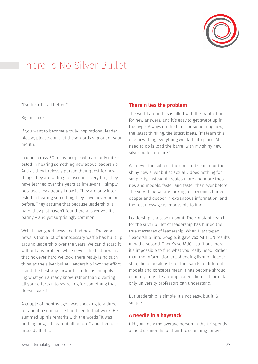

# There Is No Silver Bullet

"I've heard it all before."

Big mistake.

If you want to become a truly inspirational leader please, please don't let these words slip out of your mouth.

I come across SO many people who are only interested in hearing something new about leadership. And as they tirelessly pursue their quest for new things they are willing to discount everything they have learned over the years as irrelevant – simply because they already know it. They are only interested in hearing something they have never heard before. They assume that because leadership is hard, they just haven't found the answer yet. It's barmy – and yet surprisingly common.

Well, I have good news and bad news. The good news is that a lot of unnecessary waffle has built up around leadership over the years. We can discard it without any problem whatsoever. The bad news is that however hard we look, there really is no such thing as the silver bullet. Leadership involves effort – and the best way forward is to focus on applying what you already know, rather than diverting all your efforts into searching for something that doesn't exist!

A couple of months ago I was speaking to a director about a seminar he had been to that week. He summed up his remarks with the words "It was nothing new, I'd heard it all before!" and then dismissed all of it.

#### Therein lies the problem

The world around us is filled with the frantic hunt for new answers, and it's easy to get swept up in the hype. Always on the hunt for something new, the latest thinking, the latest ideas. "If I learn this one new thing everything will fall into place. All I need to do is load the barrel with my shiny new silver bullet and fire."

Whatever the subject, the constant search for the shiny new silver bullet actually does nothing for simplicity. Instead it creates more and more theories and models, faster and faster than ever before! The very thing we are looking for becomes buried deeper and deeper in extraneous information, and the real message is impossible to find.

Leadership is a case in point. The constant search for the silver bullet of leadership has buried the true messages of leadership. When I last typed "leadership" into Google, it gave 760 MILLION results in half a second! There's so MUCH stuff out there it's impossible to find what you really need. Rather than the information era shedding light on leadership, the opposite is true. Thousands of different models and concepts mean it has become shrouded in mystery like a complicated chemical formula only university professors can understand.

But leadership is simple. It's not easy, but it IS simple.

#### A needle in a haystack

Did you know the average person in the UK spends almost six months of their life searching for ev-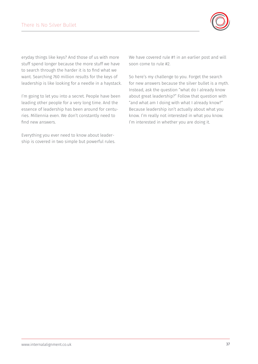

eryday things like keys? And those of us with more stuff spend longer because the more stuff we have to search through the harder it is to find what we want. Searching 760 million results for the keys of leadership is like looking for a needle in a haystack.

I'm going to let you into a secret. People have been leading other people for a very long time. And the essence of leadership has been around for centuries. Millennia even. We don't constantly need to find new answers.

Everything you ever need to know about leadership is covered in two simple but powerful rules. We have covered rule #1 in an earlier post and will soon come to rule #2.

So here's my challenge to you. Forget the search for new answers because the silver bullet is a myth. Instead, ask the question "what do I already know about great leadership?" Follow that question with "and what am I doing with what I already know?" Because leadership isn't actually about what you know. I'm really not interested in what you know. I'm interested in whether you are doing it.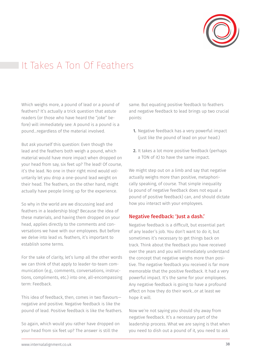

# It Takes A Ton Of Feathers

Which weighs more, a pound of lead or a pound of feathers? It's actually a trick question that astute readers (or those who have heard the "joke" before) will immediately see: A pound is a pound is a pound…regardless of the material involved.

But ask yourself this question: Even though the lead and the feathers both weigh a pound, which material would have more impact when dropped on your head from say, six feet up? The lead! Of course, it's the lead. No one in their right mind would voluntarily let you drop a one-pound lead weight on their head. The feathers, on the other hand, might actually have people lining up for the experience.

So why in the world are we discussing lead and feathers in a leadership blog? Because the idea of these materials, and having them dropped on your head, applies directly to the comments and conversations we have with our employees. But before we delve into lead vs. feathers, it's important to establish some terms.

For the sake of clarity, let's lump all the other words we can think of that apply to leader-to-team communication (e.g., comments, conversations, instructions, compliments, etc.) into one, all-encompassing term: Feedback.

This idea of feedback, then, comes in two flavours negative and positive. Negative feedback is like the pound of lead. Positive feedback is like the feathers.

So again, which would you rather have dropped on your head from six feet up? The answer is still the

same. But equating positive feedback to feathers and negative feedback to lead brings up two crucial points:

- 1. Negative feedback has a very powerful impact (just like the pound of lead on your head.)
- 2. It takes a lot more positive feedback (perhaps a TON of it) to have the same impact.

We might step out on a limb and say that negative actually weighs more than positive, metaphorically speaking, of course. That simple inequality (a pound of negative feedback does not equal a pound of positive feedback) can, and should dictate how you interact with your employees.

#### Negative feedback: 'Just a dash.'

Negative feedback is a difficult, but essential part of any leader's job. You don't want to do it, but sometimes it's necessary to get things back on track. Think about the feedback you have received over the years and you will immediately understand the concept that negative weighs more than positive. The negative feedback you received is far more memorable that the positive feedback. It had a very powerful impact. It's the same for your employees. Any negative feedback is going to have a profound effect on how they do their work…or at least we hope it will.

Now we're not saying you should shy away from negative feedback. It's a necessary part of the leadership process. What we are saying is that when you need to dish out a pound of it, you need to ask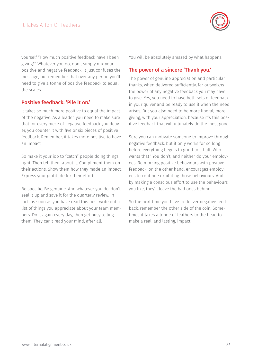

yourself "How much positive feedback have I been giving?" Whatever you do, don't simply mix your positive and negative feedback, it just confuses the message, but remember that over any period you'll need to give a tonne of positive feedback to equal the scales.

#### Positive feedback: 'Pile it on.'

It takes so much more positive to equal the impact of the negative. As a leader, you need to make sure that for every piece of negative feedback you deliver, you counter it with five or six pieces of positive feedback. Remember, it takes more positive to have an impact.

So make it your job to "catch" people doing things right. Then tell them about it. Compliment them on their actions. Show them how they made an impact. Express your gratitude for their efforts.

Be specific. Be genuine. And whatever you do, don't seal it up and save it for the quarterly review. In fact, as soon as you have read this post write out a list of things you appreciate about your team members. Do it again every day, then get busy telling them. They can't read your mind, after all.

You will be absolutely amazed by what happens.

#### The power of a sincere 'Thank you.'

The power of genuine appreciation and particular thanks, when delivered sufficiently, far outweighs the power of any negative feedback you may have to give. Yes, you need to have both sets of feedback in your quiver and be ready to use it when the need arises. But you also need to be more liberal, more giving, with your appreciation, because it's this positive feedback that will ultimately do the most good.

Sure you can motivate someone to improve through negative feedback, but it only works for so long before everything begins to grind to a halt. Who wants that? You don't, and neither do your employees. Reinforcing positive behaviours with positive feedback, on the other hand, encourages employees to continue exhibiting those behaviours. And by making a conscious effort to use the behaviours you like, they'll leave the bad ones behind.

So the next time you have to deliver negative feedback, remember the other side of the coin: Sometimes it takes a tonne of feathers to the head to make a real, and lasting, impact.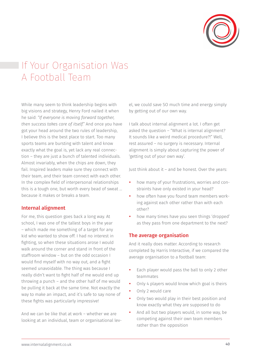

# If Your Organisation Was A Football Team

While many seem to think leadership begins with big visions and strategy, Henry Ford nailed it when he said: *"If everyone is moving forward together, then success takes care of itself."* And once you have got your head around the two rules of leadership, I believe this is the best place to start. Too many sports teams are bursting with talent and know exactly what the goal is, yet lack any real connection – they are just a bunch of talented individuals. Almost invariably, when the chips are down, they fail. Inspired leaders make sure they connect with their team, and their team connect with each other. In the complex field of interpersonal relationships this is a tough one, but worth every bead of sweat … because it makes or breaks a team.

#### Internal alignment

For me, this question goes back a long way. At school, I was one of the tallest boys in the year – which made me something of a target for any kid who wanted to show off. I had no interest in fighting, so when these situations arose I would walk around the corner and stand in front of the staffroom window – but on the odd occasion I would find myself with no way out, and a fight seemed unavoidable. The thing was because I really didn't want to fight half of me would end up throwing a punch – and the other half of me would be pulling it back at the same time. Not exactly the way to make an impact, and it's safe to say none of these fights was particularly impressive!

And we can be like that at work – whether we are looking at an individual, team or organisational level, we could save SO much time and energy simply by getting out of our own way.

I talk about internal alignment a lot. I often get asked the question – "What is internal alignment? It sounds like a weird medical procedure?!" Well, rest assured – no surgery is necessary. Internal alignment is simply about capturing the power of 'getting out of your own way'.

Just think about it – and be honest. Over the years:

- how many of your frustrations, worries and constraints have only existed in your head?
- how often have you found team members working against each other rather than with each other?
- how many times have you seen things 'dropped' as they pass from one department to the next?

#### The average organisation

And it really does matter. According to research completed by Harris Interactive, if we compared the average organisation to a football team:

- Each player would pass the ball to only 2 other teammates
- Only 4 players would know which goal is theirs
- Only 2 would care
- Only two would play in their best position and know exactly what they are supposed to do
- And all but two players would, in some way, be competing against their own team members rather than the opposition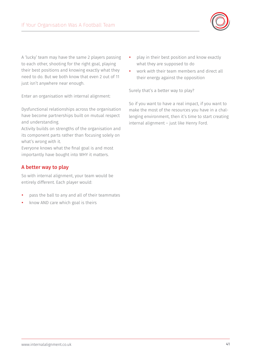

A 'lucky' team may have the same 2 players passing to each other, shooting for the right goal, playing their best positions and knowing exactly what they need to do. But we both know that even 2 out of 11 just isn't anywhere near enough.

Enter an organisation with internal alignment:

Dysfunctional relationships across the organisation have become partnerships built on mutual respect and understanding.

Activity builds on strengths of the organisation and its component parts rather than focusing solely on what's wrong with it.

Everyone knows what the final goal is and most importantly have bought into WHY it matters.

#### A better way to play

So with internal alignment, your team would be entirely different. Each player would:

- pass the ball to any and all of their teammates
- know AND care which goal is theirs
- play in their best position and know exactly what they are supposed to do
- work *with* their team members and direct all their energy against the opposition

Surely that's a better way to play?

So if you want to have a real impact, if you want to make the most of the resources you have in a challenging environment, then it's time to start creating internal alignment – just like Henry Ford.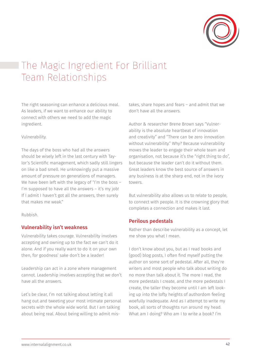

# The Magic Ingredient For Brilliant Team Relationships

The right seasoning can enhance a delicious meal. As leaders, if we want to enhance our ability to connect with others we need to add the magic ingredient.

#### Vulnerability.

The days of the boss who had all the answers should be wisely left in the last century with Taylor's Scientific management, which sadly still lingers on like a bad smell. He unknowingly put a massive amount of pressure on generations of managers. We have been left with the legacy of "I'm the boss – I'm supposed to have all the answers – it's my job! If I admit I haven't got all the answers, then surely that makes me weak."

Rubbish.

#### Vulnerability isn't weakness

Vulnerability takes courage. Vulnerability involves accepting and owning up to the fact we can't do it alone. And if you really want to do it on your own then, for goodness' sake don't be a leader!

Leadership can act in a zone where management cannot. Leadership involves accepting that we don't have all the answers.

Let's be clear, I'm not talking about letting it all hang out and tweeting your most intimate personal secrets with the whole wide world. But I am talking about being real. About being willing to admit mistakes, share hopes and fears – and admit that we don't have all the answers.

Author & researcher Brene Brown says "Vulnerability is the absolute heartbeat of innovation and creativity" and "There can be zero innovation without vulnerability." Why? Because vulnerability moves the leader to engage their whole team and organisation, not because it's the "right thing to do", but because the leader can't do it without them. Great leaders know the best source of answers in any business is at the sharp end, not in the ivory towers.

But vulnerability also allows us to relate to people, to connect with people. It is the crowning glory that completes a connection and makes it last.

#### Perilous pedestals

Rather than describe vulnerability as a concept, let me show you what I mean.

I don't know about you, but as I read books and (good) blog posts, I often find myself putting the author on some sort of pedestal. After all, they're writers and most people who talk about writing do no more than talk about it. The more I read, the more pedestals I create, and the more pedestals I create, the taller they become until I am left looking up into the lofty heights of authordom feeling woefully inadequate. And as I attempt to write my book, all sorts of thoughts run around my head. What am I doing? Who am I to write a book? I'm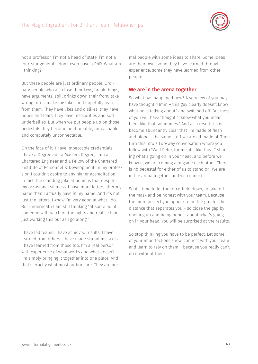

not a professor. I'm not a head of state. I'm not a four-star general. I don't even have a PhD. What am I thinking?

But these people are just ordinary people. Ordinary people who also lose their keys, break things, have arguments, spill drinks down their front, take wrong turns, make mistakes and hopefully learn from them. They have likes and dislikes, they have hopes and fears, they have insecurities and soft underbellies. But when we put people up on those pedestals they become unattainable, unreachable and completely unconnectable.

On the face of it, I have impeccable credentials. I have a Degree and a Masters Degree; I am a Chartered Engineer and a Fellow of the Chartered Institute of Personnel & Development. In my profession I couldn't aspire to any higher accreditation. In fact, the standing joke at home is that despite my occasional silliness, I have more letters after my name than I actually have *in* my name. And it's not just the letters. I *know* I'm very good at what I do. But underneath I am still thinking "at some point someone will switch on the lights and realise I am just working this out as I go along!"

I have led teams. I have achieved results. I have learned from others. I have made stupid mistakes. I have learned from those too. I'm a real person with experience of what works and what doesn't – I'm simply bringing it together into one place. And that's exactly what most authors are. They are normal people with some ideas to share. Some ideas are their own, some they have learned through experience, some they have learned from other people.

#### We are in the arena together

So what has happened now? A very few of you may have thought "Hmm – this guy clearly doesn't know what he is talking about" and switched off. But most of you will have thought "I know what you mean! I feel like that sometimes." And as a result it has become abundantly clear that I'm made of flesh and blood – the same stuff we are all made of. Then turn this into a two-way conversation where you follow with "Well Peter, for me, it's like this…," sharing what's going on in your head, and before we know it, we are coming alongside each other. There is no pedestal for either of us to stand on. We are in the arena together, and we connect.

So it's time to let the force-field down, to take off the mask and be honest with your team. Because the more perfect you appear to be the greater the distance that separates you – so close the gap by opening up and being honest about what's going on in your head. You will be surprised at the results.

So stop thinking you have to be perfect. Let some of your imperfections show, connect with your team and learn to rely on them – because you really can't do it without them.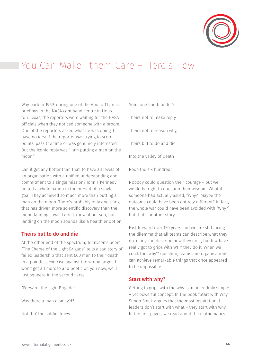

### You Can Make Tthem Care – Here's How

Way back in 1969, during one of the Apollo 11 press briefings in the NASA command centre in Houston, Texas, the reporters were waiting for the NASA officials when they noticed someone with a broom. One of the reporters asked what he was doing. I have no idea if the reporter was trying to score points, pass the time or was genuinely interested. But the iconic reply was "I am putting a man on the moon."

Can it get any better than that, to have all levels of an organisation with a unified understanding and commitment to a single mission? John F Kennedy united a whole nation in the pursuit of a single goal. They achieved so much more than putting a man on the moon. There's probably only one thing that has driven more scientific discovery than the moon landing – war. I don't know about you, but landing on the moon sounds like a healthier option,

#### Theirs but to do and die

At the other end of the spectrum, Tennyson's poem, "The Charge of the Light Brigade" tells a sad story of failed leadership that sent 600 men to their death in a pointless exercise against the wrong target. I won't get all morose and poetic on you now; we'll just squeeze in the second verse:

"Forward, the Light Brigade!"

Was there a man dismay'd?

Not tho' the soldier knew

Someone had blunder'd: Theirs not to make reply, Theirs not to reason why, Theirs but to do and die: Into the valley of Death Rode the six hundred."

Nobody could question their courage – but we would be right to question their wisdom. What if someone had actually asked, "Why?" Maybe the outcome could have been entirely different? In fact, the whole war could have been avoided with "Why?" but that's another story.

Fast forward over 150 years and we are still facing the dilemma that all teams can describe what they do, many can describe how they do it, but few have really got to grips with WHY they do it. When we crack the 'why?' question, teams and organisations can achieve remarkable things that once appeared to be impossible.

#### Start with why?

Getting to grips with the why is an incredibly simple – yet powerful concept. In the book "Start with Why" Simon Sinek argues that the most inspirational leaders don't start with what – they start with why. In the first pages, we read about the mathematics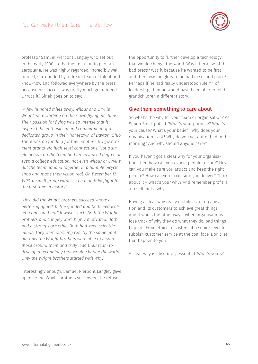

professor Samuel Pierpont Langley who set out in the early 1900s to be the first man to pilot an aeroplane. He was highly regarded, incredibly well funded, surrounded by a dream team of talent and know-how and followed everywhere by the press because his success was pretty much guaranteed. Or was it? Sinek goes on to say:

*"A few hundred miles away, Wilbur and Orville Wright were working on their own flying machine. Their passion for flying was so intense that it inspired the enthusiasm and commitment of a dedicated group in their hometown of Dayton, Ohio. There was no funding for their venture. No government grants. No high-level connections. Not a single person on the team had an advanced degree or even a college education, not even Wilbur or Orville. But the team banded together in a humble bicycle shop and made their vision real. On December 17, 1903, a small group witnessed a man take flight for the first time in history."*

*"How did the Wright brothers succeed where a better-equipped, better-funded and better-educated team could not? It wasn't luck. Both the Wright brothers and Langley were highly motivated. Both had a strong work ethic. Both had keen scientific minds. They were pursuing exactly the same goal, but only the Wright brothers were able to inspire those around them and truly lead their team to develop a technology that would change the world. Only the Wright brothers started with Why."*

Interestingly enough, Samuel Pierpont Langley gave up once the Wright brothers succeeded. He refused

the opportunity to further develop a technology that would change the world. Was it because of the bad press? Was it because he wanted to be first and there was no glory to be had in second place? Perhaps if he had really understood rule # 1 of leadership, then he would have been able to tell his grandchildren a different story.

#### Give them something to care about

So what's the why for your team or organisation? As Simon Sinek puts it "What's your purpose? What's your cause? What's your belief? Why does your organisation exist? Why do you get out of bed in the morning? And why should anyone care?"

If you haven't got a clear why for your organisation, then how can you expect people to care? How can you make sure you attract and keep the right people? How can you make sure you deliver? Think about it – what's your why? And remember profit is a result, not a why.

Having a clear why really mobilises an organisation and its customers to achieve great things. And it works the other way – when organisations lose track of why they do what they do, bad things happen. From ethical disasters at a senior level to rubbish customer service at the coal face. Don't let that happen to you.

A clear why is absolutely essential. What's yours?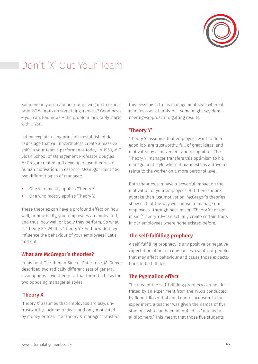

# Don't 'X' Out Your Team

Someone in your team not quite living up to expectations? Want to do something about it? Good news – you can. Bad news – the problem inevitably starts with…. You.

Let me explain using principles established decades ago that will nevertheless create a massive shift in your team's performance today. In 1960, MIT Sloan School of Management Professor Douglas McGregor created and developed two theories of human motivation. In essence, McGregor identified two different types of manager:

- One who mostly applies 'Theory X'.
- One who mostly applies 'Theory Y.'

These theories can have a profound effect on how well, or how badly, your employees are motivated, and thus, how well or badly they perform. So what is 'Theory X'? What is 'Theory Y'? And how do they influence the behaviour of your employees? Let's find out.

#### What are McGregor's theories?

In his book The Human Side of Enterprise, McGregor described two radically different sets of general assumptions—two theories—that form the basis for two opposing managerial styles.

#### 'Theory X'

'Theory X' assumes that employees are lazy, untrustworthy, lacking in ideas, and only motivated by money or fear. The 'Theory X' manager transfers this pessimism to his management style where it manifests as a hands-on—some might say domineering—approach to getting results.

#### 'Theory Y'

'Theory Y' assumes that employees want to do a good job, are trustworthy, full of great ideas, and motivated by achievement and recognition. The 'Theory Y' manager transfers this optimism to his management style where it manifests as a drive to relate to the worker on a more personal level.

Both theories can have a powerful impact on the motivation of your employees. But there's more at stake than just motivation. McGregor's theories show us that the way we choose to manage our employees—through pessimism ('Theory X') or optimism ('Theory Y')—can actually create certain traits in our employees where none existed before.

#### The self-fulfilling prophecy

A self-fulfilling prophecy is any positive or negative expectation about circumstances, events, or people that may affect behaviour and cause those expectations to be fulfilled.

#### The Pygmalion effect

The idea of the self-fulfilling prophecy can be illustrated by an experiment from the 1960s conducted by Robert Rosenthal and Lenore Jacobson. In the experiment, a teacher was given the names of five students who had been identified as "intellectual bloomers." This meant that those five students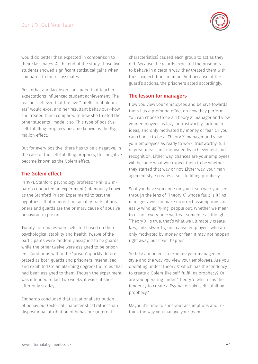

would do better than expected in comparison to their classmates. At the end of the study, those five students showed significant statistical gains when compared to their classmates.

Rosenthal and Jacobson concluded that teacher expectations influenced student achievement. The teacher believed that the five "intellectual bloomers" would excel and her resultant behaviour—how she treated them compared to how she treated the other students—made it so. This type of positive self-fulfilling prophecy became known as the Pygmalion effect.

But for every positive, there has to be a negative. In the case of the self-fulfilling prophecy, this negative became known as the Golem effect.

#### The Golem effect

In 1971, Stanford psychology professor Philip Zimbardo conducted an experiment (infamously known as the Stanford Prison Experiment) to test the hypothesis that inherent personality traits of prisoners and guards are the primary cause of abusive behaviour in prison.

Twenty-four males were selected based on their psychological stability and health. Twelve of the participants were randomly assigned to be guards while the other twelve were assigned to be prisoners. Conditions within the "prison" quickly deteriorated as both guards and prisoners internalised and exhibited (to an alarming degree) the roles that had been assigned to them. Though the experiment was intended to last two weeks, it was cut short after only six days.

Zimbardo concluded that situational attribution of behaviour (external characteristics) rather than dispositional attribution of behaviour (internal

characteristics) caused each group to act as they did. Because the guards expected the prisoners to behave in a certain way, they treated them with those expectations in mind. And because of the guard's actions, the prisoners acted accordingly.

#### The lesson for managers

How you view your employees and behave towards them has a profound effect on how they perform. You can choose to be a 'Theory X' manager and view your employees as lazy, untrustworthy, lacking in ideas, and only motivated by money or fear. Or you can choose to be a 'Theory Y' manager and view your employees as ready to work, trustworthy, full of great ideas, and motivated by achievement and recognition. Either way, chances are your employees will become what you expect them to be whether they started that way or not. Either way, your management style creates a self-fulfilling prophecy.

So if you have someone on your team who you see through the lens of 'Theory X', whose fault is it? As managers, we can make incorrect assumptions and easily wind up 'X-ing' people out. Whether we mean to or not, every time we treat someone as though 'Theory X' is true, that's what we ultimately create: lazy, untrustworthy, uncreative employees who are only motivated by money or fear. It may not happen right away, but it will happen.

So take a moment to examine your management style and the way you view your employees. Are you operating under 'Theory X' which has the tendency to create a Golem-like self-fulfilling prophecy? Or are you operating under 'Theory Y' which has the tendency to create a Pygmalion-like self-fulfilling prophecy?

Maybe it's time to shift your assumptions and rethink the way you manage your team.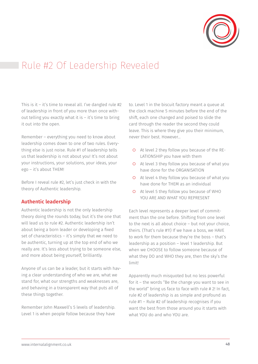

### Rule #2 Of Leadership Revealed

This is it – it's time to reveal all. I've dangled rule #2 of leadership in front of you more than once without telling you exactly what it is – it's time to bring it out into the open.

Remember – everything you need to know about leadership comes down to one of two rules. Everything else is just noise. Rule #1 of leadership tells us that leadership is not about you! It's not about your instructions, your solutions, your ideas, your ego – it's about THEM!

Before I reveal rule #2, let's just check in with the theory of Authentic leadership.

#### Authentic leadership

Authentic leadership is not the only leadership theory doing the rounds today, but it's the one that will lead us to rule #2. Authentic leadership isn't about being a born leader or developing a fixed set of characteristics – it's simply that we need to be authentic, turning up at the top end of who we really are. It's less about trying to be someone else, and more about being yourself, brilliantly.

Anyone of us can be a leader, but it starts with having a clear understanding of who we are, what we stand for, what our strengths and weaknesses are, and behaving in a transparent way that puts all of these things together.

Remember John Maxwell's 5 levels of leadership. Level 1 is when people follow because they have to. Level 1 in the biscuit factory meant a queue at the clock machine 5 minutes before the end of the shift, each one changed and poised to slide the card through the reader the second they could leave. This is where they give you their minimum, never their best. However…

- { At level 2 they follow you because of the RE-LATIONSHIP you have with them
- { At level 3 they follow you because of what you have done for the ORGANISATION
- { At level 4 they follow you because of what you have done for THEM as an individual
- { At level 5 they follow you because of WHO YOU ARE AND WHAT YOU REPRESENT

Each level represents a deeper level of commitment than the one before. Shifting from one level to the next is all about choice – but not your choice, theirs. (That's rule #1!) If we have a boss, we HAVE to work for them because they're the boss – that's leadership as a position – level 1 leadership. But when we CHOOSE to follow someone because of what they DO and WHO they are, then the sky's the limit!

Apparently much misquoted but no less powerful for it – the words "Be the change you want to see in the world" bring us face to face with rule # 2! In fact, rule #2 of leadership is as simple and profound as rule #1 – Rule #2 of leadership recognises if you want the best from those around you it starts with what YOU do and who YOU are.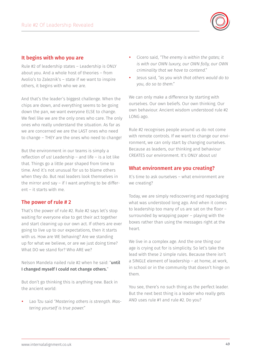

#### It begins with who you are

Rule #2 of leadership states – Leadership is ONLY about you. And a whole host of theories – from Avolio's to Zaleznik's – state if we want to inspire others, it begins with who we are.

And that's the leader's biggest challenge. When the chips are down, and everything seems to be going down the pan, we want everyone ELSE to change. We feel like we are the only ones who care. The only ones who really understand the situation. As far as we are concerned we are the LAST ones who need to change – THEY are the ones who need to change!

But the environment in our teams is simply a reflection of us! Leadership – and life – is a lot like that. Things go a little pear shaped from time to time. And it's not unusual for us to blame others when they do. But real leaders look themselves in the mirror and say – if I want anything to be different – it starts with me.

#### The power of rule # 2

That's the power of rule #2. Rule #2 says let's stop waiting for everyone else to get their act together and start cleaning up our own act. If others are ever going to live up to our expectations, then it starts with us. How are WE behaving? Are we standing up for what we believe, or are we just doing time? What DO we stand for? Who ARE we?

Nelson Mandela nailed rule #2 when he said: "until I changed myself I could not change others."

But don't go thinking this is anything new. Back in the ancient world:

Lao Tzu said "Mastering others is strength. Mas*tering yourself is true power."*

- y Cicero said, *"The enemy is within the gates; it is with our OWN luxury, our OWN folly, our OWN criminality that we have to contend."*
- y Jesus said, *"as you wish that others would do to you, do so to them."*

We can only make a difference by starting with ourselves. Our own beliefs. Our own thinking. Our own behaviour. Ancient wisdom understood rule #2 LONG ago.

Rule #2 recognises people around us do not come with remote controls. If we want to change our environment, we can only start by changing ourselves. Because as leaders, our thinking and behaviour CREATES our environment. It's ONLY about us!

#### What environment are you creating?

It's time to ask ourselves – what environment are we creating?

Today, we are simply rediscovering and repackaging what was understood long ago. And when it comes to leadership too many of us are sat on the floor – surrounded by wrapping paper – playing with the boxes rather than using the messages right at the heart.

We live in a complex age. And the one thing our age is crying out for is simplicity. So let's take the lead with these 2 simple rules. Because there isn't a SINGLE element of leadership – at home, at work, in school or in the community that doesn't hinge on them.

You see, there's no such thing as the perfect leader. But the next best thing is a leader who really gets AND uses rule #1 and rule #2. Do you?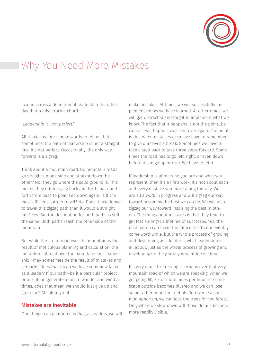

### Why You Need More Mistakes

I came across a definition of leadership the other day that really struck a chord.

#### *"Leadership is…not perfect."*

All it takes is four simple words to tell us that, sometimes, the path of leadership is not a straight line. It's not perfect. Occasionally, the only way forward is a zigzag.

Think about a mountain road. Do mountain roads go straight up one side and straight down the other? No. They go where the solid ground is. This means they often zigzag back and forth, back and forth from base to peak and down again. Is it the most efficient path to travel? No. Does it take longer to travel this zigzag path than it would a straight line? Yes. But the destination for both paths is still the same. Both paths reach the other side of the mountain.

But while the literal road over the mountain is the result of meticulous planning and calculation, the metaphorical road over the mountain—our leadership—may sometimes be the result of mistakes and setbacks. Does that mean we have somehow failed as a leader? If our path—be it a particular project or our life in general—tends to wander and wind at times, does that mean we should just give up and go home? Absolutely not.

#### Mistakes are inevitable

One thing I can guarantee is that, as leaders, we will

make mistakes. At times, we will successfully implement things we have learned. At other times, we will get distracted and forget to implement what we know. The fact that it happens is not the point…because it will happen, over and over again. The point is that when mistakes occur, we have to remember to give ourselves a break. Sometimes we have to take a step back to take three steps forward. Sometimes the road has to go left, right, or even down before it can go up or over. We have to let it.

If leadership is about who you are and what you represent, then it's a life's work. It's not about each and every mistake you make along the way. We are all a work in progress and will zigzag our way toward becoming the best we can be. We will also zigzag our way toward inspiring the best in others. The thing about mistakes is that they tend to get lost amongst a lifetime of successes. Yes, the destination can make the difficulties that inevitably come worthwhile, but the whole process of growing and developing as a leader is what leadership is all about, just as the whole process of growing and developing on the journey is what life is about.

It's very much like driving… perhaps over that very mountain road of which we are speaking. When we get going 60, 70, or more miles per hour, the landscape outside becomes blurred and we can lose some rather important details. To reverse a common aphorism, we can lose the trees for the forest. Only when we slow down will those details become more readily visible.